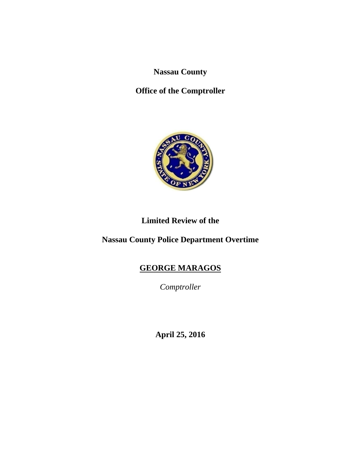**Nassau County** 

**Office of the Comptroller** 



# **Limited Review of the**

**Nassau County Police Department Overtime** 

# **GEORGE MARAGOS**

*Comptroller* 

**April 25, 2016**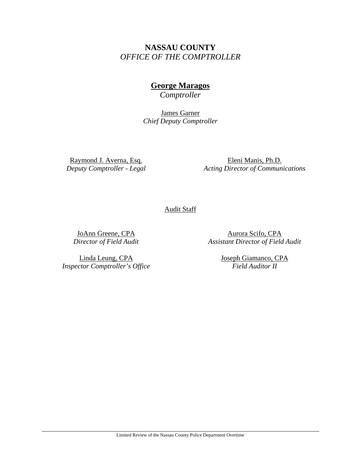# **NASSAU COUNTY**  *OFFICE OF THE COMPTROLLER*

# **George Maragos**

*Comptroller* 

James Garner *Chief Deputy Comptroller* 

Raymond J. Averna, Esq. *Deputy Comptroller - Legal* 

Eleni Manis, Ph.D. *Acting Director of Communications* 

Audit Staff

JoAnn Greene, CPA *Director of Field Audit* 

Aurora Scifo, CPA *Assistant Director of Field Audit* 

Linda Leung, CPA *Inspector Comptroller's Office*  Joseph Giamanco, CPA *Field Auditor II*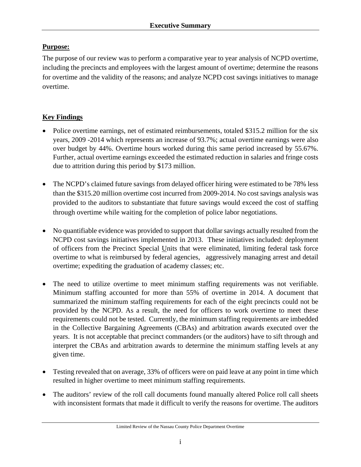# **Purpose:**

The purpose of our review was to perform a comparative year to year analysis of NCPD overtime, including the precincts and employees with the largest amount of overtime; determine the reasons for overtime and the validity of the reasons; and analyze NCPD cost savings initiatives to manage overtime.

# **Key Findings**

- Police overtime earnings, net of estimated reimbursements, totaled \$315.2 million for the six years, 2009 -2014 which represents an increase of 93.7%; actual overtime earnings were also over budget by 44%. Overtime hours worked during this same period increased by 55.67%. Further, actual overtime earnings exceeded the estimated reduction in salaries and fringe costs due to attrition during this period by \$173 million.
- The NCPD's claimed future savings from delayed officer hiring were estimated to be 78% less than the \$315.20 million overtime cost incurred from 2009-2014. No cost savings analysis was provided to the auditors to substantiate that future savings would exceed the cost of staffing through overtime while waiting for the completion of police labor negotiations.
- No quantifiable evidence was provided to support that dollar savings actually resulted from the NCPD cost savings initiatives implemented in 2013. These initiatives included: deployment of officers from the Precinct Special Units that were eliminated, limiting federal task force overtime to what is reimbursed by federal agencies, aggressively managing arrest and detail overtime; expediting the graduation of academy classes; etc.
- The need to utilize overtime to meet minimum staffing requirements was not verifiable. Minimum staffing accounted for more than 55% of overtime in 2014. A document that summarized the minimum staffing requirements for each of the eight precincts could not be provided by the NCPD. As a result, the need for officers to work overtime to meet these requirements could not be tested. Currently, the minimum staffing requirements are imbedded in the Collective Bargaining Agreements (CBAs) and arbitration awards executed over the years. It is not acceptable that precinct commanders (or the auditors) have to sift through and interpret the CBAs and arbitration awards to determine the minimum staffing levels at any given time.
- Testing revealed that on average, 33% of officers were on paid leave at any point in time which resulted in higher overtime to meet minimum staffing requirements.
- The auditors' review of the roll call documents found manually altered Police roll call sheets with inconsistent formats that made it difficult to verify the reasons for overtime. The auditors

Limited Review of the Nassau County Police Department Overtime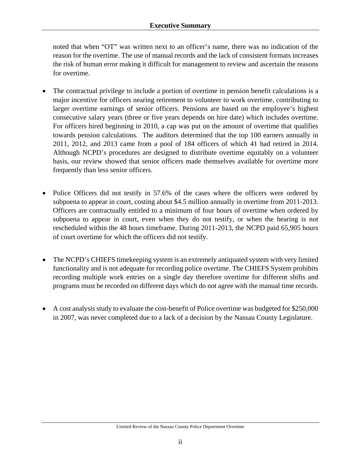noted that when "OT" was written next to an officer's name, there was no indication of the reason for the overtime. The use of manual records and the lack of consistent formats increases the risk of human error making it difficult for management to review and ascertain the reasons for overtime.

- The contractual privilege to include a portion of overtime in pension benefit calculations is a major incentive for officers nearing retirement to volunteer to work overtime, contributing to larger overtime earnings of senior officers. Pensions are based on the employee's highest consecutive salary years (three or five years depends on hire date) which includes overtime. For officers hired beginning in 2010, a cap was put on the amount of overtime that qualifies towards pension calculations. The auditors determined that the top 100 earners annually in 2011, 2012, and 2013 came from a pool of 184 officers of which 41 had retired in 2014. Although NCPD's procedures are designed to distribute overtime equitably on a volunteer basis, our review showed that senior officers made themselves available for overtime more frequently than less senior officers.
- Police Officers did not testify in 57.6% of the cases where the officers were ordered by subpoena to appear in court, costing about \$4.5 million annually in overtime from 2011-2013. Officers are contractually entitled to a minimum of four hours of overtime when ordered by subpoena to appear in court, even when they do not testify, or when the hearing is not rescheduled within the 48 hours timeframe. During 2011-2013, the NCPD paid 65,905 hours of court overtime for which the officers did not testify.
- The NCPD's CHIEFS timekeeping system is an extremely antiquated system with very limited functionality and is not adequate for recording police overtime. The CHIEFS System prohibits recording multiple work entries on a single day therefore overtime for different shifts and programs must be recorded on different days which do not agree with the manual time records.
- A cost analysis study to evaluate the cost-benefit of Police overtime was budgeted for \$250,000 in 2007, was never completed due to a lack of a decision by the Nassau County Legislature.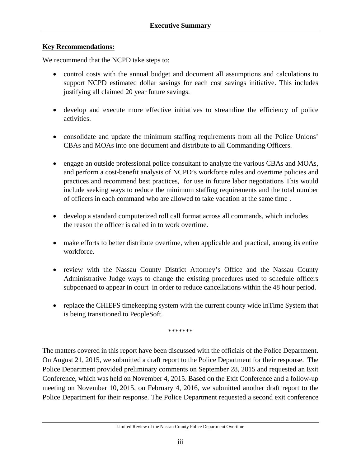### **Key Recommendations:**

We recommend that the NCPD take steps to:

- control costs with the annual budget and document all assumptions and calculations to support NCPD estimated dollar savings for each cost savings initiative. This includes justifying all claimed 20 year future savings.
- develop and execute more effective initiatives to streamline the efficiency of police activities.
- consolidate and update the minimum staffing requirements from all the Police Unions' CBAs and MOAs into one document and distribute to all Commanding Officers.
- engage an outside professional police consultant to analyze the various CBAs and MOAs, and perform a cost-benefit analysis of NCPD's workforce rules and overtime policies and practices and recommend best practices, for use in future labor negotiations This would include seeking ways to reduce the minimum staffing requirements and the total number of officers in each command who are allowed to take vacation at the same time .
- develop a standard computerized roll call format across all commands, which includes the reason the officer is called in to work overtime.
- make efforts to better distribute overtime, when applicable and practical, among its entire workforce.
- review with the Nassau County District Attorney's Office and the Nassau County Administrative Judge ways to change the existing procedures used to schedule officers subpoenaed to appear in court in order to reduce cancellations within the 48 hour period.
- replace the CHIEFS timekeeping system with the current county wide InTime System that is being transitioned to PeopleSoft.

\*\*\*\*\*\*\*

The matters covered in this report have been discussed with the officials of the Police Department. On August 21, 2015, we submitted a draft report to the Police Department for their response. The Police Department provided preliminary comments on September 28, 2015 and requested an Exit Conference, which was held on November 4, 2015. Based on the Exit Conference and a follow-up meeting on November 10, 2015, on February 4, 2016, we submitted another draft report to the Police Department for their response. The Police Department requested a second exit conference

Limited Review of the Nassau County Police Department Overtime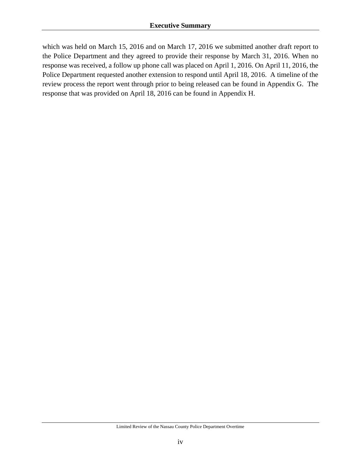which was held on March 15, 2016 and on March 17, 2016 we submitted another draft report to the Police Department and they agreed to provide their response by March 31, 2016. When no response was received, a follow up phone call was placed on April 1, 2016. On April 11, 2016, the Police Department requested another extension to respond until April 18, 2016. A timeline of the review process the report went through prior to being released can be found in Appendix G. The response that was provided on April 18, 2016 can be found in Appendix H.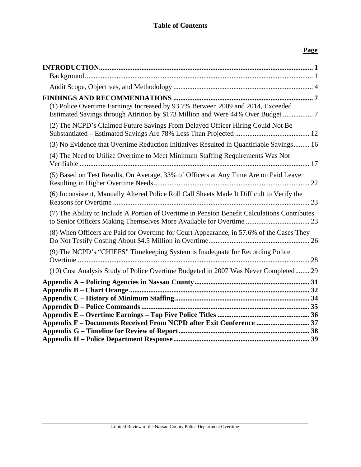# **Page**

| (1) Police Overtime Earnings Increased by 93.7% Between 2009 and 2014, Exceeded<br>Estimated Savings through Attrition by \$173 Million and Were 44% Over Budget  7 |  |
|---------------------------------------------------------------------------------------------------------------------------------------------------------------------|--|
| (2) The NCPD's Claimed Future Savings From Delayed Officer Hiring Could Not Be                                                                                      |  |
| (3) No Evidence that Overtime Reduction Initiatives Resulted in Quantifiable Savings 16                                                                             |  |
| (4) The Need to Utilize Overtime to Meet Minimum Staffing Requirements Was Not                                                                                      |  |
| (5) Based on Test Results, On Average, 33% of Officers at Any Time Are on Paid Leave                                                                                |  |
| (6) Inconsistent, Manually Altered Police Roll Call Sheets Made It Difficult to Verify the                                                                          |  |
| (7) The Ability to Include A Portion of Overtime in Pension Benefit Calculations Contributes                                                                        |  |
| (8) When Officers are Paid for Overtime for Court Appearance, in 57.6% of the Cases They                                                                            |  |
| (9) The NCPD's "CHIEFS" Timekeeping System is Inadequate for Recording Police                                                                                       |  |
| (10) Cost Analysis Study of Police Overtime Budgeted in 2007 Was Never Completed 29                                                                                 |  |
|                                                                                                                                                                     |  |
|                                                                                                                                                                     |  |
|                                                                                                                                                                     |  |
|                                                                                                                                                                     |  |
|                                                                                                                                                                     |  |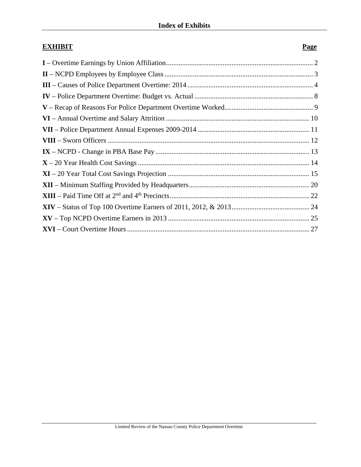# **EXHIBIT** Page **I** – Overtime Earnings by Union Affiliation ................................................................................... 2 **II** – NCPD Employees by Employee Class .................................................................................... 3 **III** – Causes of Police Department Overtime: 2014 ....................................................................... 4 **IV** – Police Department Overtime: Budget vs. Actual ................................................................... 8 **V** – Recap of Reasons For Police Department Overtime Worked .................................................. 9 **VI** – Annual Overtime and Salary Attrition ................................................................................. 10 **VII** – Police Department Annual Expenses 2009-2014 ............................................................... 11 **VIII** – Sworn Officers .................................................................................................................. 12 **IX** – NCPD - Change in PBA Base Pay ....................................................................................... 13 **X** – 20 Year Health Cost Savings ................................................................................................. 14 **XI** – 20 Year Total Cost Savings Projection ................................................................................ 15 **XII** – Minimum Staffing Provided by Headquarters .................................................................... 20 **XIII** – Paid Time Off at 2nd and 4th Precincts ............................................................................... 22 **XIV** – Status of Top 100 Overtime Earners of 2011, 2012, & 2013 ............................................ 24 **XV** – Top NCPD Overtime Earners in 2013 ................................................................................ 25 **XVI** – Court Overtime Hours ....................................................................................................... 27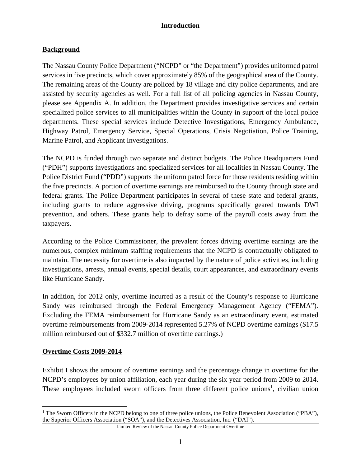# **Background**

The Nassau County Police Department ("NCPD" or "the Department") provides uniformed patrol services in five precincts, which cover approximately 85% of the geographical area of the County. The remaining areas of the County are policed by 18 village and city police departments, and are assisted by security agencies as well. For a full list of all policing agencies in Nassau County, please see Appendix A. In addition, the Department provides investigative services and certain specialized police services to all municipalities within the County in support of the local police departments. These special services include Detective Investigations, Emergency Ambulance, Highway Patrol, Emergency Service, Special Operations, Crisis Negotiation, Police Training, Marine Patrol, and Applicant Investigations.

The NCPD is funded through two separate and distinct budgets. The Police Headquarters Fund ("PDH") supports investigations and specialized services for all localities in Nassau County. The Police District Fund ("PDD") supports the uniform patrol force for those residents residing within the five precincts. A portion of overtime earnings are reimbursed to the County through state and federal grants. The Police Department participates in several of these state and federal grants, including grants to reduce aggressive driving, programs specifically geared towards DWI prevention, and others. These grants help to defray some of the payroll costs away from the taxpayers.

According to the Police Commissioner, the prevalent forces driving overtime earnings are the numerous, complex minimum staffing requirements that the NCPD is contractually obligated to maintain. The necessity for overtime is also impacted by the nature of police activities, including investigations, arrests, annual events, special details, court appearances, and extraordinary events like Hurricane Sandy.

In addition, for 2012 only, overtime incurred as a result of the County's response to Hurricane Sandy was reimbursed through the Federal Emergency Management Agency ("FEMA"). Excluding the FEMA reimbursement for Hurricane Sandy as an extraordinary event, estimated overtime reimbursements from 2009-2014 represented 5.27% of NCPD overtime earnings (\$17.5 million reimbursed out of \$332.7 million of overtime earnings.)

### **Overtime Costs 2009-2014**

Exhibit I shows the amount of overtime earnings and the percentage change in overtime for the NCPD's employees by union affiliation, each year during the six year period from 2009 to 2014. These employees included sworn officers from three different police unions<sup>1</sup>, civilian union

<sup>1</sup> <sup>1</sup> The Sworn Officers in the NCPD belong to one of three police unions, the Police Benevolent Association ("PBA"), the Superior Officers Association ("SOA"), and the Detectives Association, Inc. ("DAI").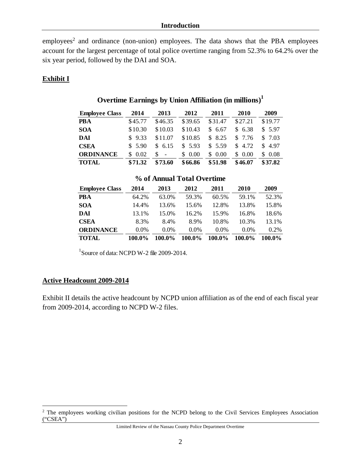$employees<sup>2</sup>$  and ordinance (non-union) employees. The data shows that the PBA employees account for the largest percentage of total police overtime ranging from 52.3% to 64.2% over the six year period, followed by the DAI and SOA.

### **Exhibit I**

| <b>Employee Class</b> | 2014    | 2013                          | 2012    | 2011       | 2010    | 2009    |
|-----------------------|---------|-------------------------------|---------|------------|---------|---------|
| <b>PBA</b>            | \$45.77 | \$46.35                       | \$39.65 | \$31.47    | \$27.21 | \$19.77 |
| <b>SOA</b>            | \$10.30 | \$10.03                       | \$10.43 | 6.67<br>S. | \$6.38  | \$5.97  |
| <b>DAI</b>            | \$9.33  | \$11.07                       | \$10.85 | 8.25<br>S. | \$ 7.76 | \$7.03  |
| <b>CSEA</b>           | \$5.90  | \$6.15                        | \$5.93  | \$5.59     | \$ 4.72 | \$4.97  |
| <b>ORDINANCE</b>      | \$ 0.02 | S<br>$\overline{\phantom{a}}$ | \$0.00  | 0.00<br>S. | \$0.00  | \$ 0.08 |
| <b>TOTAL</b>          | \$71.32 | \$73.60                       | \$66.86 | \$51.98    | \$46.07 | \$37.82 |

# **Overtime Earnings by Union Affiliation (in millions)1**

#### **% of Annual Total Overtime**

| <b>Employee Class</b> | 2014    | 2013    | 2012    | 2011    | 2010    | 2009    |
|-----------------------|---------|---------|---------|---------|---------|---------|
| <b>PBA</b>            | 64.2%   | 63.0%   | 59.3%   | 60.5%   | 59.1%   | 52.3%   |
| <b>SOA</b>            | 14.4%   | 13.6%   | 15.6%   | 12.8%   | 13.8%   | 15.8%   |
| DAI                   | 13.1%   | 15.0%   | 16.2%   | 15.9%   | 16.8%   | 18.6%   |
| <b>CSEA</b>           | 8.3%    | 8.4%    | 8.9%    | 10.8%   | 10.3%   | 13.1%   |
| <b>ORDINANCE</b>      | $0.0\%$ | $0.0\%$ | $0.0\%$ | $0.0\%$ | $0.0\%$ | $0.2\%$ |
| <b>TOTAL</b>          | 100.0%  | 100.0%  | 100.0%  | 100.0%  | 100.0%  | 100.0%  |

1 Source of data: NCPD W-2 file 2009-2014.

### **Active Headcount 2009-2014**

 $\overline{a}$ 

Exhibit II details the active headcount by NCPD union affiliation as of the end of each fiscal year from 2009-2014, according to NCPD W-2 files.

<sup>&</sup>lt;sup>2</sup> The employees working civilian positions for the NCPD belong to the Civil Services Employees Association ("CSEA")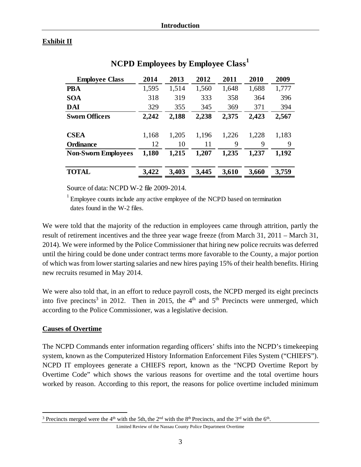# **Exhibit II**

| <b>Employee Class</b>      | 2014  | 2013  | 2012  | 2011  | 2010  | 2009  |
|----------------------------|-------|-------|-------|-------|-------|-------|
| <b>PBA</b>                 | 1,595 | 1,514 | 1,560 | 1,648 | 1,688 | 1,777 |
| <b>SOA</b>                 | 318   | 319   | 333   | 358   | 364   | 396   |
| <b>DAI</b>                 | 329   | 355   | 345   | 369   | 371   | 394   |
| <b>Sworn Officers</b>      | 2,242 | 2,188 | 2,238 | 2,375 | 2,423 | 2,567 |
| <b>CSEA</b>                | 1,168 | 1,205 | 1,196 | 1,226 | 1,228 | 1,183 |
| <b>Ordinance</b>           | 12    | 10    | 11    | 9     | 9     | 9     |
| <b>Non-Sworn Employees</b> | 1,180 | 1,215 | 1,207 | 1,235 | 1,237 | 1,192 |
| <b>TOTAL</b>               | 3,422 | 3,403 | 3,445 | 3,610 | 3,660 | 3,759 |

# **NCPD Employees by Employee Class<sup>1</sup>**

Source of data: NCPD W-2 file 2009-2014.

 $1$  Employee counts include any active employee of the NCPD based on termination dates found in the W-2 files.

We were told that the majority of the reduction in employees came through attrition, partly the result of retirement incentives and the three year wage freeze (from March 31, 2011 – March 31, 2014). We were informed by the Police Commissioner that hiring new police recruits was deferred until the hiring could be done under contract terms more favorable to the County, a major portion of which was from lower starting salaries and new hires paying 15% of their health benefits. Hiring new recruits resumed in May 2014.

We were also told that, in an effort to reduce payroll costs, the NCPD merged its eight precincts into five precincts<sup>3</sup> in 2012. Then in 2015, the  $4<sup>th</sup>$  and  $5<sup>th</sup>$  Precincts were unmerged, which according to the Police Commissioner, was a legislative decision.

### **Causes of Overtime**

 $\overline{a}$ 

The NCPD Commands enter information regarding officers' shifts into the NCPD's timekeeping system, known as the Computerized History Information Enforcement Files System ("CHIEFS"). NCPD IT employees generate a CHIEFS report, known as the "NCPD Overtime Report by Overtime Code" which shows the various reasons for overtime and the total overtime hours worked by reason. According to this report, the reasons for police overtime included minimum

<sup>&</sup>lt;sup>3</sup> Precincts merged were the 4<sup>th</sup> with the 5th, the 2<sup>nd</sup> with the 8<sup>th</sup> Precincts, and the 3<sup>rd</sup> with the 6<sup>th</sup>.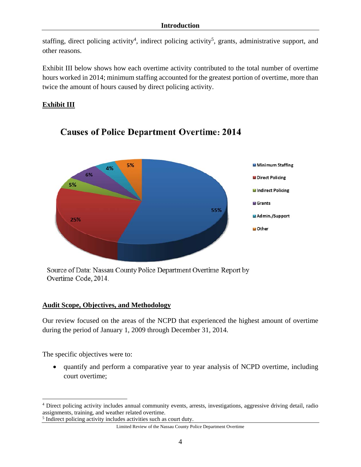staffing, direct policing activity<sup>4</sup>, indirect policing activity<sup>5</sup>, grants, administrative support, and other reasons.

Exhibit III below shows how each overtime activity contributed to the total number of overtime hours worked in 2014; minimum staffing accounted for the greatest portion of overtime, more than twice the amount of hours caused by direct policing activity.

# **Exhibit III**



# **Causes of Police Department Overtime: 2014**

Source of Data: Nassau County Police Department Overtime Report by Overtime Code, 2014.

### **Audit Scope, Objectives, and Methodology**

Our review focused on the areas of the NCPD that experienced the highest amount of overtime during the period of January 1, 2009 through December 31, 2014.

The specific objectives were to:

 $\overline{a}$ 

 quantify and perform a comparative year to year analysis of NCPD overtime, including court overtime;

<sup>4</sup> Direct policing activity includes annual community events, arrests, investigations, aggressive driving detail, radio assignments, training, and weather related overtime.

<sup>&</sup>lt;sup>5</sup> Indirect policing activity includes activities such as court duty.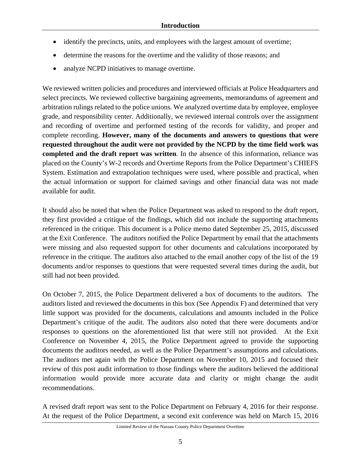- identify the precincts, units, and employees with the largest amount of overtime;
- determine the reasons for the overtime and the validity of those reasons; and
- analyze NCPD initiatives to manage overtime.

We reviewed written policies and procedures and interviewed officials at Police Headquarters and select precincts. We reviewed collective bargaining agreements, memorandums of agreement and arbitration rulings related to the police unions. We analyzed overtime data by employee, employee grade, and responsibility center. Additionally, we reviewed internal controls over the assignment and recording of overtime and performed testing of the records for validity, and proper and complete recording. **However, many of the documents and answers to questions that were requested throughout the audit were not provided by the NCPD by the time field work was completed and the draft report was written**. In the absence of this information, reliance was placed on the County's W-2 records and Overtime Reports from the Police Department's CHIEFS System. Estimation and extrapolation techniques were used, where possible and practical, when the actual information or support for claimed savings and other financial data was not made available for audit.

It should also be noted that when the Police Department was asked to respond to the draft report, they first provided a critique of the findings, which did not include the supporting attachments referenced in the critique. This document is a Police memo dated September 25, 2015, discussed at the Exit Conference. The auditors notified the Police Department by email that the attachments were missing and also requested support for other documents and calculations incorporated by reference in the critique. The auditors also attached to the email another copy of the list of the 19 documents and/or responses to questions that were requested several times during the audit, but still had not been provided.

On October 7, 2015, the Police Department delivered a box of documents to the auditors. The auditors listed and reviewed the documents in this box (See Appendix F) and determined that very little support was provided for the documents, calculations and amounts included in the Police Department's critique of the audit. The auditors also noted that there were documents and/or responses to questions on the aforementioned list that were still not provided. At the Exit Conference on November 4, 2015, the Police Department agreed to provide the supporting documents the auditors needed, as well as the Police Department's assumptions and calculations. The auditors met again with the Police Department on November 10, 2015 and focused their review of this post audit information to those findings where the auditors believed the additional information would provide more accurate data and clarity or might change the audit recommendations.

A revised draft report was sent to the Police Department on February 4, 2016 for their response. At the request of the Police Department, a second exit conference was held on March 15, 2016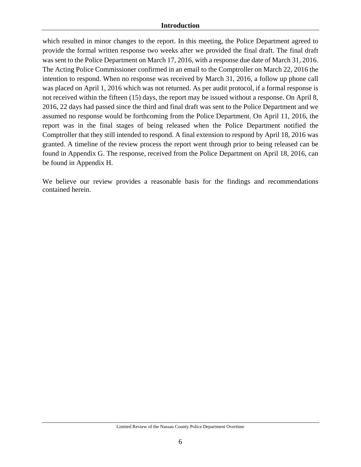#### **Introduction**

which resulted in minor changes to the report. In this meeting, the Police Department agreed to provide the formal written response two weeks after we provided the final draft. The final draft was sent to the Police Department on March 17, 2016, with a response due date of March 31, 2016. The Acting Police Commissioner confirmed in an email to the Comptroller on March 22, 2016 the intention to respond. When no response was received by March 31, 2016, a follow up phone call was placed on April 1, 2016 which was not returned. As per audit protocol, if a formal response is not received within the fifteen (15) days, the report may be issued without a response. On April 8, 2016, 22 days had passed since the third and final draft was sent to the Police Department and we assumed no response would be forthcoming from the Police Department. On April 11, 2016, the report was in the final stages of being released when the Police Department notified the Comptroller that they still intended to respond. A final extension to respond by April 18, 2016 was granted. A timeline of the review process the report went through prior to being released can be found in Appendix G. The response, received from the Police Department on April 18, 2016, can be found in Appendix H.

We believe our review provides a reasonable basis for the findings and recommendations contained herein.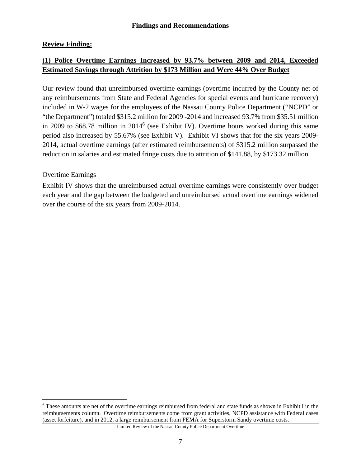# **Review Finding:**

# **(1) Police Overtime Earnings Increased by 93.7% between 2009 and 2014, Exceeded Estimated Savings through Attrition by \$173 Million and Were 44% Over Budget**

Our review found that unreimbursed overtime earnings (overtime incurred by the County net of any reimbursements from State and Federal Agencies for special events and hurricane recovery) included in W-2 wages for the employees of the Nassau County Police Department ("NCPD" or "the Department") totaled \$315.2 million for 2009 -2014 and increased 93.7% from \$35.51 million in 2009 to \$68.78 million in 2014<sup>6</sup> (see Exhibit IV). Overtime hours worked during this same period also increased by 55.67% (see Exhibit V). Exhibit VI shows that for the six years 2009- 2014, actual overtime earnings (after estimated reimbursements) of \$315.2 million surpassed the reduction in salaries and estimated fringe costs due to attrition of \$141.88, by \$173.32 million.

# Overtime Earnings

 $\overline{a}$ 

Exhibit IV shows that the unreimbursed actual overtime earnings were consistently over budget each year and the gap between the budgeted and unreimbursed actual overtime earnings widened over the course of the six years from 2009-2014.

<sup>6</sup> These amounts are net of the overtime earnings reimbursed from federal and state funds as shown in Exhibit I in the reimbursements column. Overtime reimbursements come from grant activities, NCPD assistance with Federal cases (asset forfeiture), and in 2012, a large reimbursement from FEMA for Superstorm Sandy overtime costs.

Limited Review of the Nassau County Police Department Overtime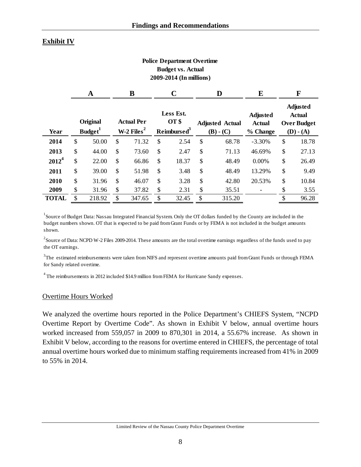# **Exhibit IV**

#### **Police Department Overtime Budget vs. Actual 2009-2014 (In millions)**

|              |               | A                               | B                                           |    |                                               | D  |                                         | E                                            |                                                                       | F     |
|--------------|---------------|---------------------------------|---------------------------------------------|----|-----------------------------------------------|----|-----------------------------------------|----------------------------------------------|-----------------------------------------------------------------------|-------|
| Year         |               | Original<br>Budget <sup>1</sup> | <b>Actual Per</b><br>W-2 Files <sup>2</sup> |    | Less Est.<br>OT \$<br>Reimbursed <sup>3</sup> |    | <b>Adjusted Actual</b><br>$(B)$ - $(C)$ | <b>Adjusted</b><br><b>Actual</b><br>% Change | <b>Adjusted</b><br><b>Actual</b><br><b>Over Budget</b><br>$(D) - (A)$ |       |
| 2014         | \$            | 50.00                           | \$<br>71.32                                 | \$ | 2.54                                          | \$ | 68.78                                   | $-3.30%$                                     | \$                                                                    | 18.78 |
| 2013         | \$            | 44.00                           | \$<br>73.60                                 | \$ | 2.47                                          | \$ | 71.13                                   | 46.69%                                       | \$                                                                    | 27.13 |
| $2012^4$     | \$            | 22.00                           | \$<br>66.86                                 | \$ | 18.37                                         | \$ | 48.49                                   | 0.00%                                        | \$                                                                    | 26.49 |
| 2011         | \$            | 39.00                           | \$<br>51.98                                 | \$ | 3.48                                          | \$ | 48.49                                   | 13.29%                                       | \$                                                                    | 9.49  |
| 2010         | $\mathcal{S}$ | 31.96                           | \$<br>46.07                                 | \$ | 3.28                                          | \$ | 42.80                                   | 20.53%                                       | \$                                                                    | 10.84 |
| 2009         | \$            | 31.96                           | \$<br>37.82                                 | \$ | 2.31                                          | \$ | 35.51                                   |                                              | \$                                                                    | 3.55  |
| <b>TOTAL</b> | \$            | 218.92                          | \$<br>347.65                                | \$ | 32.45                                         | \$ | 315.20                                  |                                              | ¢                                                                     | 96.28 |

<sup>1</sup> Source of Budget Data: Nassau Integrated Financial System. Only the OT dollars funded by the County are included in the budget numbers shown. OT that is expected to be paid from Grant Funds or by FEMA is not included in the budget amounts shown.

 $2^2$ Source of Data: NCPD W-2 Files 2009-2014. These amounts are the total overtime earnings regardless of the funds used to pay the OT earnings.

 $^3$ The estimated reimbursements were taken from NIFS and represent overtime amounts paid from Grant Funds or through FEMA for Sandy related overtime.

4 The reimbursements in 2012 included \$14.9 million from FEMA for Hurricane Sandy expenses.

#### Overtime Hours Worked

We analyzed the overtime hours reported in the Police Department's CHIEFS System, "NCPD Overtime Report by Overtime Code". As shown in Exhibit V below, annual overtime hours worked increased from 559,057 in 2009 to 870,301 in 2014, a 55.67% increase. As shown in Exhibit V below, according to the reasons for overtime entered in CHIEFS, the percentage of total annual overtime hours worked due to minimum staffing requirements increased from 41% in 2009 to 55% in 2014.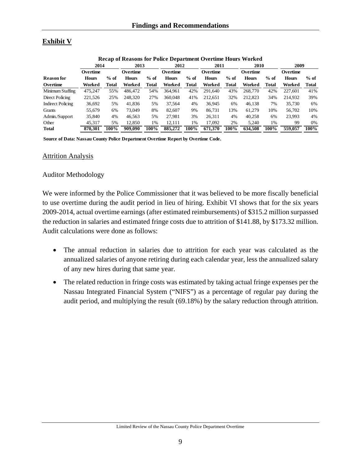# **Exhibit V**

|                          | Recap of Reasons for Police Department Overtime Hours Worked |        |              |        |              |              |              |              |              |        |              |        |
|--------------------------|--------------------------------------------------------------|--------|--------------|--------|--------------|--------------|--------------|--------------|--------------|--------|--------------|--------|
|                          | 2014                                                         |        | 2013         |        |              | 2012         |              | 2011         | 2010         |        | 2009         |        |
|                          | Overtime                                                     |        | Overtime     |        | Overtime     |              | Overtime     |              | Overtime     |        | Overtime     |        |
| <b>Reason for</b>        | <b>Hours</b>                                                 | $%$ of | <b>Hours</b> | $%$ of | <b>Hours</b> | $%$ of       | <b>Hours</b> | $%$ of       | <b>Hours</b> | $%$ of | <b>Hours</b> | $%$ of |
| Overtime                 | Worked                                                       | Total  | Worked       | Total  | Worked       | <b>Total</b> | Worked       | <b>Total</b> | Worked       | Total  | Worked       | Total  |
| Minimum Staffing         | 475.247                                                      | 55%    | 486,472      | 54%    | 364.961      | 42%          | 291.640      | 43%          | 268,770      | 42%    | 227.601      | 41%    |
| Direct Policing          | 221,526                                                      | 25%    | 248,320      | 27%    | 360,048      | 41%          | 212.651      | 32%          | 212,823      | 34%    | 214.932      | 39%    |
| <b>Indirect Policing</b> | 36,692                                                       | 5%     | 41.836       | 5%     | 37.564       | 4%           | 36.945       | 6%           | 46.138       | 7%     | 35,730       | 6%     |
| Grants                   | 55.679                                                       | 6%     | 73,049       | 8%     | 82,607       | 9%           | 86.731       | 13%          | 61.279       | 10%    | 56,702       | 10%    |
| Admin./Support           | 35,840                                                       | 4%     | 46.563       | 5%     | 27.981       | 3%           | 26.311       | 4%           | 40,258       | 6%     | 23.993       | 4%     |
| Other                    | 45.317                                                       | 5%     | 12.850       | 1%     | 12.111       | 1%           | 17.092       | 2%           | 5.240        | 1%     | 99           | 0%     |
| Total                    | 870.301                                                      | 100%   | 909,090      | 100%   | 885,272      | 100%         | 671.370      | 100%         | 634.508      | 100%   | 559,057      | 100%   |

#### **Recap of Reasons for Police Department Overtime Hours Worked**

**Source of Data: Nassau County Police Department Overtime Report by Overtime Code.**

#### **Attrition Analysis**

#### Auditor Methodology

We were informed by the Police Commissioner that it was believed to be more fiscally beneficial to use overtime during the audit period in lieu of hiring. Exhibit VI shows that for the six years 2009-2014, actual overtime earnings (after estimated reimbursements) of \$315.2 million surpassed the reduction in salaries and estimated fringe costs due to attrition of \$141.88, by \$173.32 million. Audit calculations were done as follows:

- The annual reduction in salaries due to attrition for each year was calculated as the annualized salaries of anyone retiring during each calendar year, less the annualized salary of any new hires during that same year.
- The related reduction in fringe costs was estimated by taking actual fringe expenses per the Nassau Integrated Financial System ("NIFS") as a percentage of regular pay during the audit period, and multiplying the result (69.18%) by the salary reduction through attrition.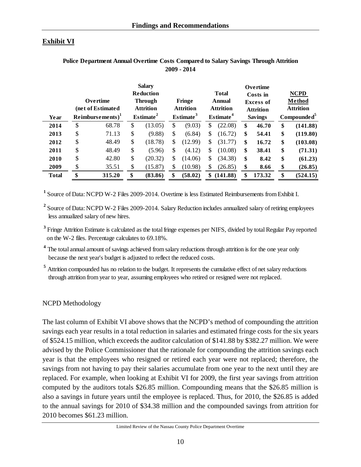# **Exhibit VI**

| Year         | Overtime<br>(net of Estimated<br>Reimbursements <sup>1</sup> | <b>Salary</b><br><b>Reduction</b><br><b>Through</b><br><b>Attrition</b><br>Estimate <sup>2</sup> | Fringe<br><b>Attrition</b><br>Estimate <sup>3</sup> | <b>Total</b><br><b>Annual</b><br><b>Attrition</b><br>Estimate <sup>4</sup> | Overtime<br>Costs in<br><b>Excess of</b><br><b>Attrition</b><br><b>Savings</b> | <b>NCPD</b><br>Method<br><b>Attrition</b><br>Compounded <sup>5</sup> |
|--------------|--------------------------------------------------------------|--------------------------------------------------------------------------------------------------|-----------------------------------------------------|----------------------------------------------------------------------------|--------------------------------------------------------------------------------|----------------------------------------------------------------------|
| 2014         | \$<br>68.78                                                  | \$<br>(13.05)                                                                                    | \$<br>(9.03)                                        | \$<br>(22.08)                                                              | \$<br>46.70                                                                    | \$<br>(141.88)                                                       |
| 2013         | \$<br>71.13                                                  | \$<br>(9.88)                                                                                     | \$<br>(6.84)                                        | \$<br>(16.72)                                                              | \$<br>54.41                                                                    | \$<br>(119.80)                                                       |
| 2012         | \$<br>48.49                                                  | \$<br>(18.78)                                                                                    | \$<br>(12.99)                                       | \$<br>(31.77)                                                              | \$<br>16.72                                                                    | \$<br>(103.08)                                                       |
| 2011         | \$<br>48.49                                                  | \$<br>(5.96)                                                                                     | \$<br>(4.12)                                        | \$<br>(10.08)                                                              | \$<br>38.41                                                                    | \$<br>(71.31)                                                        |
| 2010         | \$<br>42.80                                                  | \$<br>(20.32)                                                                                    | \$<br>(14.06)                                       | \$<br>(34.38)                                                              | \$<br>8.42                                                                     | \$<br>(61.23)                                                        |
| 2009         | \$<br>35.51                                                  | \$<br>(15.87)                                                                                    | (10.98)                                             | (26.85)                                                                    | \$<br>8.66                                                                     | \$<br>(26.85)                                                        |
| <b>Total</b> | \$<br>315.20                                                 | \$<br>(83.86)                                                                                    | \$<br>(58.02)                                       | \$<br>(141.88)                                                             | \$<br>173.32                                                                   | \$<br>(524.15)                                                       |

#### **Police Department Annual Overtime Costs Compared to Salary Savings Through Attrition 2009 - 2014**

**<sup>1</sup>** Source of Data: NCPD W-2 Files 2009-2014. Overtime is less Estimated Reimbursements from Exhibit I.

<sup>2</sup> Source of Data: NCPD W-2 Files 2009-2014. Salary Reduction includes annualized salary of retiring employees less annualized salary of new hires.

<sup>3</sup> Fringe Attrition Estimate is calculated as the total fringe expenses per NIFS, divided by total Regular Pay reported on the W-2 files. Percentage calculates to 69.18%.

<sup>4</sup> The total annual amount of savings achieved from salary reductions through attrition is for the one year only because the next year's budget is adjusted to reflect the reduced costs.

<sup>5</sup> Attrition compounded has no relation to the budget. It represents the cumulative effect of net salary reductions through attrition from year to year, assuming employees who retired or resigned were not replaced.

### NCPD Methodology

The last column of Exhibit VI above shows that the NCPD's method of compounding the attrition savings each year results in a total reduction in salaries and estimated fringe costs for the six years of \$524.15 million, which exceeds the auditor calculation of \$141.88 by \$382.27 million. We were advised by the Police Commissioner that the rationale for compounding the attrition savings each year is that the employees who resigned or retired each year were not replaced; therefore, the savings from not having to pay their salaries accumulate from one year to the next until they are replaced. For example, when looking at Exhibit VI for 2009, the first year savings from attrition computed by the auditors totals \$26.85 million. Compounding means that the \$26.85 million is also a savings in future years until the employee is replaced. Thus, for 2010, the \$26.85 is added to the annual savings for 2010 of \$34.38 million and the compounded savings from attrition for 2010 becomes \$61.23 million.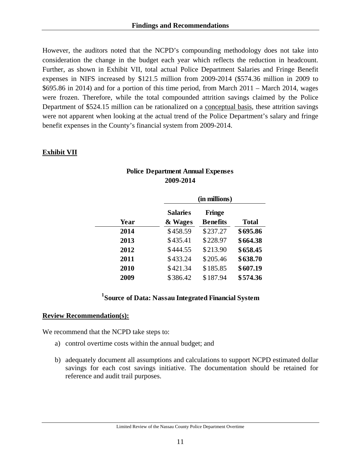However, the auditors noted that the NCPD's compounding methodology does not take into consideration the change in the budget each year which reflects the reduction in headcount. Further, as shown in Exhibit VII, total actual Police Department Salaries and Fringe Benefit expenses in NIFS increased by \$121.5 million from 2009-2014 (\$574.36 million in 2009 to \$695.86 in 2014) and for a portion of this time period, from March 2011 – March 2014, wages were frozen. Therefore, while the total compounded attrition savings claimed by the Police Department of \$524.15 million can be rationalized on a conceptual basis, these attrition savings were not apparent when looking at the actual trend of the Police Department's salary and fringe benefit expenses in the County's financial system from 2009-2014.

#### **Exhibit VII**

|      | (in millions)   |                 |          |  |  |  |  |
|------|-----------------|-----------------|----------|--|--|--|--|
|      | <b>Salaries</b> | <b>Fringe</b>   |          |  |  |  |  |
| Year | & Wages         | <b>Benefits</b> | Total    |  |  |  |  |
| 2014 | \$458.59        | \$237.27        | \$695.86 |  |  |  |  |
| 2013 | \$435.41        | \$228.97        | \$664.38 |  |  |  |  |
| 2012 | \$444.55        | \$213.90        | \$658.45 |  |  |  |  |
| 2011 | \$433.24        | \$205.46        | \$638.70 |  |  |  |  |
| 2010 | \$421.34        | \$185.85        | \$607.19 |  |  |  |  |
| 2009 | \$386.42        | \$187.94        | \$574.36 |  |  |  |  |

# **Police Department Annual Expenses 2009-2014**

# **1 Source of Data: Nassau Integrated Financial System**

#### **Review Recommendation(s):**

We recommend that the NCPD take steps to:

- a) control overtime costs within the annual budget; and
- b) adequately document all assumptions and calculations to support NCPD estimated dollar savings for each cost savings initiative. The documentation should be retained for reference and audit trail purposes.

Limited Review of the Nassau County Police Department Overtime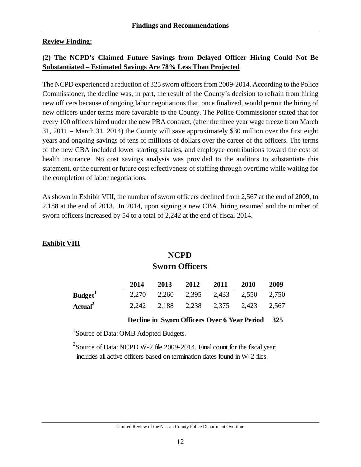### **Review Finding:**

# **(2) The NCPD's Claimed Future Savings from Delayed Officer Hiring Could Not Be Substantiated – Estimated Savings Are 78% Less Than Projected**

The NCPD experienced a reduction of 325 sworn officers from 2009-2014. According to the Police Commissioner, the decline was, in part, the result of the County's decision to refrain from hiring new officers because of ongoing labor negotiations that, once finalized, would permit the hiring of new officers under terms more favorable to the County. The Police Commissioner stated that for every 100 officers hired under the new PBA contract, (after the three year wage freeze from March 31, 2011 – March 31, 2014) the County will save approximately \$30 million over the first eight years and ongoing savings of tens of millions of dollars over the career of the officers. The terms of the new CBA included lower starting salaries, and employee contributions toward the cost of health insurance. No cost savings analysis was provided to the auditors to substantiate this statement, or the current or future cost effectiveness of staffing through overtime while waiting for the completion of labor negotiations.

As shown in Exhibit VIII, the number of sworn officers declined from 2,567 at the end of 2009, to 2,188 at the end of 2013. In 2014, upon signing a new CBA, hiring resumed and the number of sworn officers increased by 54 to a total of 2,242 at the end of fiscal 2014.

# **Exhibit VIII**

# **NCPD Sworn Officers**

|                     | 2014  | 2013  | 2012              | 2011 | <b>2010</b> | 2009  |
|---------------------|-------|-------|-------------------|------|-------------|-------|
| Budget <sup>1</sup> | 2.270 | 2,260 | 2,395 2,433 2,550 |      |             | 2,750 |
| Actual $^2$         | 2.242 | 2,188 | 2,238 2,375 2,423 |      |             | 2,567 |

### **Decline in Sworn Officers Over 6 Year Period 325**

<sup>1</sup> Source of Data: OMB Adopted Budgets.

<sup>2</sup> Source of Data: NCPD W-2 file 2009-2014. Final count for the fiscal year; includes all active officers based on termination dates found in W-2 files.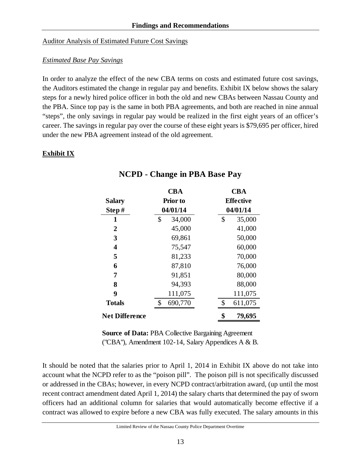#### Auditor Analysis of Estimated Future Cost Savings

# *Estimated Base Pay Savings*

In order to analyze the effect of the new CBA terms on costs and estimated future cost savings, the Auditors estimated the change in regular pay and benefits. Exhibit IX below shows the salary steps for a newly hired police officer in both the old and new CBAs between Nassau County and the PBA. Since top pay is the same in both PBA agreements, and both are reached in nine annual "steps", the only savings in regular pay would be realized in the first eight years of an officer's career. The savings in regular pay over the course of these eight years is \$79,695 per officer, hired under the new PBA agreement instead of the old agreement.

# **Exhibit IX**

|                       | <b>CBA</b>      | <b>CBA</b>       |
|-----------------------|-----------------|------------------|
| <b>Salary</b>         | <b>Prior</b> to | <b>Effective</b> |
| Step#                 | 04/01/14        | 04/01/14         |
| 1                     | \$<br>34,000    | \$<br>35,000     |
| $\overline{2}$        | 45,000          | 41,000           |
| 3                     | 69,861          | 50,000           |
| 4                     | 75,547          | 60,000           |
| 5                     | 81,233          | 70,000           |
| 6                     | 87,810          | 76,000           |
| 7                     | 91,851          | 80,000           |
| 8                     | 94,393          | 88,000           |
| 9                     | 111,075         | 111,075          |
| <b>Totals</b>         | \$<br>690,770   | \$<br>611,075    |
| <b>Net Difference</b> |                 | \$<br>79,695     |

# **NCPD - Change in PBA Base Pay**

**Source of Data:** PBA Collective Bargaining Agreement ("CBA"), Amendment 102-14, Salary Appendices A & B.

It should be noted that the salaries prior to April 1, 2014 in Exhibit IX above do not take into account what the NCPD refer to as the "poison pill". The poison pill is not specifically discussed or addressed in the CBAs; however, in every NCPD contract/arbitration award, (up until the most recent contract amendment dated April 1, 2014) the salary charts that determined the pay of sworn officers had an additional column for salaries that would automatically become effective if a contract was allowed to expire before a new CBA was fully executed. The salary amounts in this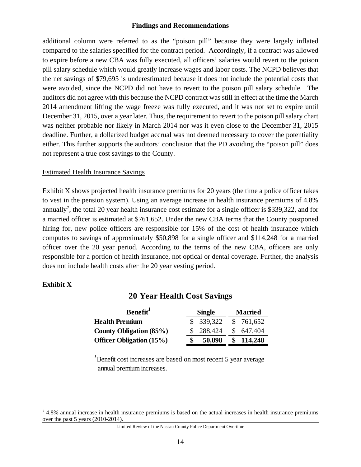additional column were referred to as the "poison pill" because they were largely inflated compared to the salaries specified for the contract period. Accordingly, if a contract was allowed to expire before a new CBA was fully executed, all officers' salaries would revert to the poison pill salary schedule which would greatly increase wages and labor costs. The NCPD believes that the net savings of \$79,695 is underestimated because it does not include the potential costs that were avoided, since the NCPD did not have to revert to the poison pill salary schedule. The auditors did not agree with this because the NCPD contract was still in effect at the time the March 2014 amendment lifting the wage freeze was fully executed, and it was not set to expire until December 31, 2015, over a year later. Thus, the requirement to revert to the poison pill salary chart was neither probable nor likely in March 2014 nor was it even close to the December 31, 2015 deadline. Further, a dollarized budget accrual was not deemed necessary to cover the potentiality either. This further supports the auditors' conclusion that the PD avoiding the "poison pill" does not represent a true cost savings to the County.

### Estimated Health Insurance Savings

Exhibit X shows projected health insurance premiums for 20 years (the time a police officer takes to vest in the pension system). Using an average increase in health insurance premiums of 4.8% annually<sup>7</sup>, the total 20 year health insurance cost estimate for a single officer is \$339,322, and for a married officer is estimated at \$761,652. Under the new CBA terms that the County postponed hiring for, new police officers are responsible for 15% of the cost of health insurance which computes to savings of approximately \$50,898 for a single officer and \$114,248 for a married officer over the 20 year period. According to the terms of the new CBA, officers are only responsible for a portion of health insurance, not optical or dental coverage. Further, the analysis does not include health costs after the 20 year vesting period.

### **Exhibit X**

 $\overline{a}$ 

# **20 Year Health Cost Savings**

| Benefit <sup>1</sup>            |  | <b>Single</b> | <b>Married</b> |           |  |
|---------------------------------|--|---------------|----------------|-----------|--|
| <b>Health Premium</b>           |  | \$ 339,322    |                | \$761,652 |  |
| County Obligation (85%)         |  | 288,424       |                | \$647,404 |  |
| <b>Officer Obligation (15%)</b> |  | 50,898        | S              | 114,248   |  |

<sup>1</sup>Benefit cost increases are based on most recent 5 year average annual premium increases.

<sup>7</sup> 4.8% annual increase in health insurance premiums is based on the actual increases in health insurance premiums over the past 5 years (2010-2014).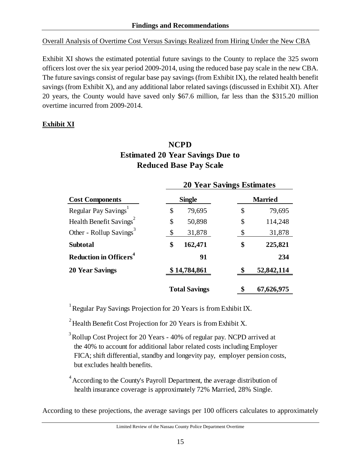Overall Analysis of Overtime Cost Versus Savings Realized from Hiring Under the New CBA

Exhibit XI shows the estimated potential future savings to the County to replace the 325 sworn officers lost over the six year period 2009-2014, using the reduced base pay scale in the new CBA. The future savings consist of regular base pay savings (from Exhibit IX), the related health benefit savings (from Exhibit X), and any additional labor related savings (discussed in Exhibit XI). After 20 years, the County would have saved only \$67.6 million, far less than the \$315.20 million overtime incurred from 2009-2014.

# **Exhibit XI**

# **NCPD Estimated 20 Year Savings Due to Reduced Base Pay Scale**

|                                          | <b>20 Year Savings Estimates</b> |                      |                |            |  |  |  |  |
|------------------------------------------|----------------------------------|----------------------|----------------|------------|--|--|--|--|
| <b>Cost Components</b>                   |                                  | <b>Single</b>        | <b>Married</b> |            |  |  |  |  |
| Regular Pay Savings <sup>1</sup>         | \$                               | 79,695               | \$             | 79,695     |  |  |  |  |
| Health Benefit Savings <sup>2</sup>      | \$                               | 50,898               | \$             | 114,248    |  |  |  |  |
| Other - Rollup Savings <sup>3</sup>      | $\boldsymbol{\mathsf{S}}$        | 31,878               | \$             | 31,878     |  |  |  |  |
| <b>Subtotal</b>                          | \$                               | 162,471              | \$             | 225,821    |  |  |  |  |
| <b>Reduction in Officers<sup>4</sup></b> |                                  | 91                   |                | 234        |  |  |  |  |
| <b>20 Year Savings</b>                   |                                  | \$14,784,861         | \$             | 52,842,114 |  |  |  |  |
|                                          |                                  | <b>Total Savings</b> | \$             | 67,626,975 |  |  |  |  |

1 Regular Pay Savings Projection for 20 Years is from Exhibit IX.

<sup>2</sup> Health Benefit Cost Projection for 20 Years is from Exhibit X.

<sup>3</sup> Rollup Cost Project for 20 Years - 40% of regular pay. NCPD arrived at the 40% to account for additional labor related costs including Employer FICA; shift differential, standby and longevity pay, employer pension costs, but excludes health benefits.

 $4$  According to the County's Payroll Department, the average distribution of health insurance coverage is approximately 72% Married, 28% Single.

According to these projections, the average savings per 100 officers calculates to approximately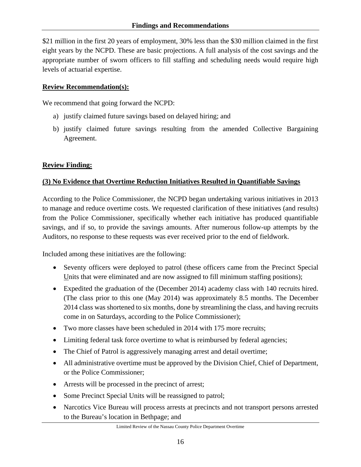\$21 million in the first 20 years of employment, 30% less than the \$30 million claimed in the first eight years by the NCPD. These are basic projections. A full analysis of the cost savings and the appropriate number of sworn officers to fill staffing and scheduling needs would require high levels of actuarial expertise.

# **Review Recommendation(s):**

We recommend that going forward the NCPD:

- a) justify claimed future savings based on delayed hiring; and
- b) justify claimed future savings resulting from the amended Collective Bargaining Agreement.

# **Review Finding:**

# **(3) No Evidence that Overtime Reduction Initiatives Resulted in Quantifiable Savings**

According to the Police Commissioner, the NCPD began undertaking various initiatives in 2013 to manage and reduce overtime costs. We requested clarification of these initiatives (and results) from the Police Commissioner, specifically whether each initiative has produced quantifiable savings, and if so, to provide the savings amounts. After numerous follow-up attempts by the Auditors, no response to these requests was ever received prior to the end of fieldwork.

Included among these initiatives are the following:

- Seventy officers were deployed to patrol (these officers came from the Precinct Special Units that were eliminated and are now assigned to fill minimum staffing positions);
- Expedited the graduation of the (December 2014) academy class with 140 recruits hired. (The class prior to this one (May 2014) was approximately 8.5 months. The December 2014 class was shortened to six months, done by streamlining the class, and having recruits come in on Saturdays, according to the Police Commissioner);
- Two more classes have been scheduled in 2014 with 175 more recruits;
- Limiting federal task force overtime to what is reimbursed by federal agencies;
- The Chief of Patrol is aggressively managing arrest and detail overtime;
- All administrative overtime must be approved by the Division Chief, Chief of Department, or the Police Commissioner;
- Arrests will be processed in the precinct of arrest;
- Some Precinct Special Units will be reassigned to patrol;
- Narcotics Vice Bureau will process arrests at precincts and not transport persons arrested to the Bureau's location in Bethpage; and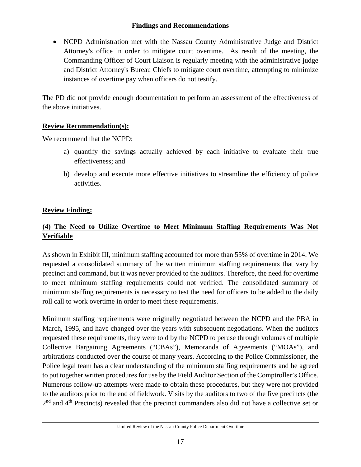NCPD Administration met with the Nassau County Administrative Judge and District Attorney's office in order to mitigate court overtime. As result of the meeting, the Commanding Officer of Court Liaison is regularly meeting with the administrative judge and District Attorney's Bureau Chiefs to mitigate court overtime, attempting to minimize instances of overtime pay when officers do not testify.

The PD did not provide enough documentation to perform an assessment of the effectiveness of the above initiatives.

# **Review Recommendation(s):**

We recommend that the NCPD:

- a) quantify the savings actually achieved by each initiative to evaluate their true effectiveness; and
- b) develop and execute more effective initiatives to streamline the efficiency of police activities.

# **Review Finding:**

# **(4) The Need to Utilize Overtime to Meet Minimum Staffing Requirements Was Not Verifiable**

As shown in Exhibit III, minimum staffing accounted for more than 55% of overtime in 2014. We requested a consolidated summary of the written minimum staffing requirements that vary by precinct and command, but it was never provided to the auditors. Therefore, the need for overtime to meet minimum staffing requirements could not verified. The consolidated summary of minimum staffing requirements is necessary to test the need for officers to be added to the daily roll call to work overtime in order to meet these requirements.

Minimum staffing requirements were originally negotiated between the NCPD and the PBA in March, 1995, and have changed over the years with subsequent negotiations. When the auditors requested these requirements, they were told by the NCPD to peruse through volumes of multiple Collective Bargaining Agreements ("CBAs"), Memoranda of Agreements ("MOAs"), and arbitrations conducted over the course of many years. According to the Police Commissioner, the Police legal team has a clear understanding of the minimum staffing requirements and he agreed to put together written procedures for use by the Field Auditor Section of the Comptroller's Office. Numerous follow-up attempts were made to obtain these procedures, but they were not provided to the auditors prior to the end of fieldwork. Visits by the auditors to two of the five precincts (the 2<sup>nd</sup> and 4<sup>th</sup> Precincts) revealed that the precinct commanders also did not have a collective set or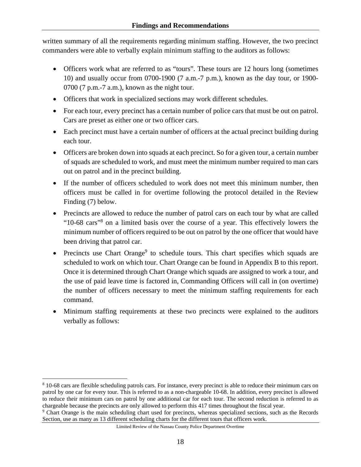written summary of all the requirements regarding minimum staffing. However, the two precinct commanders were able to verbally explain minimum staffing to the auditors as follows:

- Officers work what are referred to as "tours". These tours are 12 hours long (sometimes 10) and usually occur from 0700-1900 (7 a.m.-7 p.m.), known as the day tour, or 1900- 0700 (7 p.m.-7 a.m.), known as the night tour.
- Officers that work in specialized sections may work different schedules.
- For each tour, every precinct has a certain number of police cars that must be out on patrol. Cars are preset as either one or two officer cars.
- Each precinct must have a certain number of officers at the actual precinct building during each tour.
- Officers are broken down into squads at each precinct. So for a given tour, a certain number of squads are scheduled to work, and must meet the minimum number required to man cars out on patrol and in the precinct building.
- If the number of officers scheduled to work does not meet this minimum number, then officers must be called in for overtime following the protocol detailed in the Review Finding (7) below.
- Precincts are allowed to reduce the number of patrol cars on each tour by what are called "10-68 cars"<sup>8</sup> on a limited basis over the course of a year. This effectively lowers the minimum number of officers required to be out on patrol by the one officer that would have been driving that patrol car.
- Precincts use Chart Orange<sup>9</sup> to schedule tours. This chart specifies which squads are scheduled to work on which tour. Chart Orange can be found in Appendix B to this report. Once it is determined through Chart Orange which squads are assigned to work a tour, and the use of paid leave time is factored in, Commanding Officers will call in (on overtime) the number of officers necessary to meet the minimum staffing requirements for each command.
- Minimum staffing requirements at these two precincts were explained to the auditors verbally as follows:

 $\overline{a}$ 

<sup>&</sup>lt;sup>8</sup> 10-68 cars are flexible scheduling patrols cars. For instance, every precinct is able to reduce their minimum cars on patrol by one car for every tour. This is referred to as a non-chargeable 10-68. In addition, every precinct is allowed to reduce their minimum cars on patrol by one additional car for each tour. The second reduction is referred to as chargeable because the precincts are only allowed to perform this 417 times throughout the fiscal year.

Chart Orange is the main scheduling chart used for precincts, whereas specialized sections, such as the Records Section, use as many as 13 different scheduling charts for the different tours that officers work.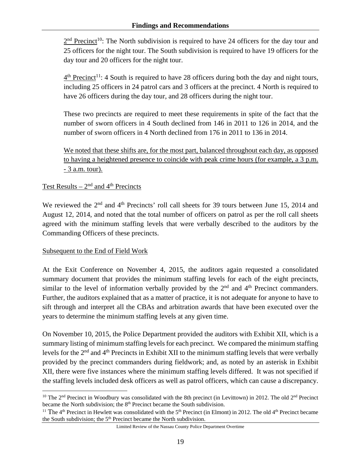$2<sup>nd</sup>$  Precinct<sup>10</sup>: The North subdivision is required to have 24 officers for the day tour and 25 officers for the night tour. The South subdivision is required to have 19 officers for the day tour and 20 officers for the night tour.

 $4<sup>th</sup>$  Precinct<sup>11</sup>: 4 South is required to have 28 officers during both the day and night tours, including 25 officers in 24 patrol cars and 3 officers at the precinct. 4 North is required to have 26 officers during the day tour, and 28 officers during the night tour.

These two precincts are required to meet these requirements in spite of the fact that the number of sworn officers in 4 South declined from 146 in 2011 to 126 in 2014, and the number of sworn officers in 4 North declined from 176 in 2011 to 136 in 2014.

We noted that these shifts are, for the most part, balanced throughout each day, as opposed to having a heightened presence to coincide with peak crime hours (for example, a 3 p.m. - 3 a.m. tour).

# Test Results  $-2<sup>nd</sup>$  and 4<sup>th</sup> Precincts

We reviewed the 2<sup>nd</sup> and 4<sup>th</sup> Precincts' roll call sheets for 39 tours between June 15, 2014 and August 12, 2014, and noted that the total number of officers on patrol as per the roll call sheets agreed with the minimum staffing levels that were verbally described to the auditors by the Commanding Officers of these precincts.

### Subsequent to the End of Field Work

1

At the Exit Conference on November 4, 2015, the auditors again requested a consolidated summary document that provides the minimum staffing levels for each of the eight precincts, similar to the level of information verbally provided by the  $2<sup>nd</sup>$  and  $4<sup>th</sup>$  Precinct commanders. Further, the auditors explained that as a matter of practice, it is not adequate for anyone to have to sift through and interpret all the CBAs and arbitration awards that have been executed over the years to determine the minimum staffing levels at any given time.

On November 10, 2015, the Police Department provided the auditors with Exhibit XII, which is a summary listing of minimum staffing levels for each precinct. We compared the minimum staffing levels for the 2<sup>nd</sup> and 4<sup>th</sup> Precincts in Exhibit XII to the minimum staffing levels that were verbally provided by the precinct commanders during fieldwork; and, as noted by an asterisk in Exhibit XII, there were five instances where the minimum staffing levels differed. It was not specified if the staffing levels included desk officers as well as patrol officers, which can cause a discrepancy.

<sup>&</sup>lt;sup>10</sup> The 2<sup>nd</sup> Precinct in Woodbury was consolidated with the 8th precinct (in Levittown) in 2012. The old 2<sup>nd</sup> Precinct became the North subdivision; the 8<sup>th</sup> Precinct became the South subdivision.

<sup>&</sup>lt;sup>11</sup> The 4<sup>th</sup> Precinct in Hewlett was consolidated with the 5<sup>th</sup> Precinct (in Elmont) in 2012. The old 4<sup>th</sup> Precinct became the South subdivision; the  $5<sup>th</sup>$  Precinct became the North subdivision.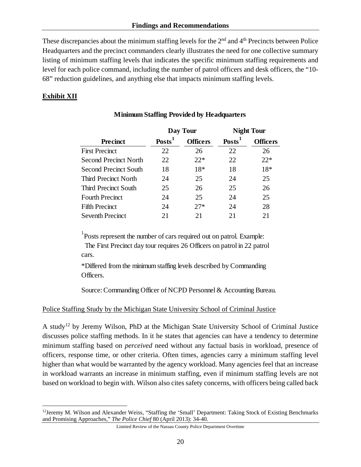These discrepancies about the minimum staffing levels for the  $2<sup>nd</sup>$  and  $4<sup>th</sup>$  Precincts between Police Headquarters and the precinct commanders clearly illustrates the need for one collective summary listing of minimum staffing levels that indicates the specific minimum staffing requirements and level for each police command, including the number of patrol officers and desk officers, the "10- 68" reduction guidelines, and anything else that impacts minimum staffing levels.

# **Exhibit XII**

1

|                              |                  | Day Tour        | <b>Night Tour</b> |                 |  |  |  |
|------------------------------|------------------|-----------------|-------------------|-----------------|--|--|--|
| <b>Precinct</b>              | $\text{Posts}^1$ | <b>Officers</b> | <b>Posts</b>      | <b>Officers</b> |  |  |  |
| <b>First Precinct</b>        | 22               | 26              | 22                | 26              |  |  |  |
| <b>Second Precinct North</b> | 22               | $22*$           | 22                | $22*$           |  |  |  |
| <b>Second Precinct South</b> | 18               | 18*             | 18                | $18*$           |  |  |  |
| Third Precinct North         | 24               | 25              | 24                | 25              |  |  |  |
| <b>Third Precinct South</b>  | 25               | 26              | 25                | 26              |  |  |  |
| <b>Fourth Precinct</b>       | 24               | 25              | 24                | 25              |  |  |  |
| <b>Fifth Precinct</b>        | 24               | $27*$           | 24                | 28              |  |  |  |
| <b>Seventh Precinct</b>      | 21               | 21              | 21                | 21              |  |  |  |

# **Minimum Staffing Provided by Headquarters**

<sup>1</sup>Posts represent the number of cars required out on patrol. Example: The First Precinct day tour requires 26 Officers on patrol in 22 patrol cars.

\*Differed from the minimum staffing levels described by Commanding Officers.

Source: Commanding Officer of NCPD Personnel & Accounting Bureau.

### Police Staffing Study by the Michigan State University School of Criminal Justice

A study12 by Jeremy Wilson, PhD at the Michigan State University School of Criminal Justice discusses police staffing methods. In it he states that agencies can have a tendency to determine minimum staffing based on *perceived* need without any factual basis in workload, presence of officers, response time, or other criteria. Often times, agencies carry a minimum staffing level higher than what would be warranted by the agency workload. Many agencies feel that an increase in workload warrants an increase in minimum staffing, even if minimum staffing levels are not based on workload to begin with. Wilson also cites safety concerns, with officers being called back

<sup>12</sup>Jeremy M. Wilson and Alexander Weiss, "Staffing the 'Small' Department: Taking Stock of Existing Benchmarks and Promising Approaches," *The Police Chief* 80 (April 2013): 34-40.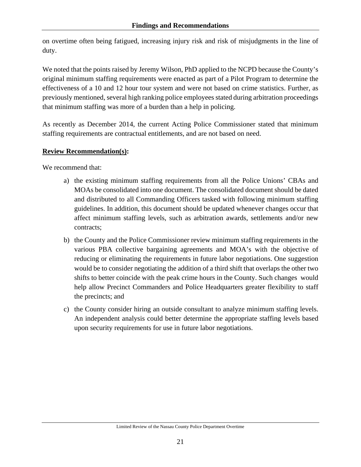on overtime often being fatigued, increasing injury risk and risk of misjudgments in the line of duty.

We noted that the points raised by Jeremy Wilson, PhD applied to the NCPD because the County's original minimum staffing requirements were enacted as part of a Pilot Program to determine the effectiveness of a 10 and 12 hour tour system and were not based on crime statistics. Further, as previously mentioned, several high ranking police employees stated during arbitration proceedings that minimum staffing was more of a burden than a help in policing.

As recently as December 2014, the current Acting Police Commissioner stated that minimum staffing requirements are contractual entitlements, and are not based on need.

### **Review Recommendation(s):**

We recommend that:

- a) the existing minimum staffing requirements from all the Police Unions' CBAs and MOAs be consolidated into one document. The consolidated document should be dated and distributed to all Commanding Officers tasked with following minimum staffing guidelines. In addition, this document should be updated whenever changes occur that affect minimum staffing levels, such as arbitration awards, settlements and/or new contracts;
- b) the County and the Police Commissioner review minimum staffing requirements in the various PBA collective bargaining agreements and MOA's with the objective of reducing or eliminating the requirements in future labor negotiations. One suggestion would be to consider negotiating the addition of a third shift that overlaps the other two shifts to better coincide with the peak crime hours in the County. Such changes would help allow Precinct Commanders and Police Headquarters greater flexibility to staff the precincts; and
- c) the County consider hiring an outside consultant to analyze minimum staffing levels. An independent analysis could better determine the appropriate staffing levels based upon security requirements for use in future labor negotiations.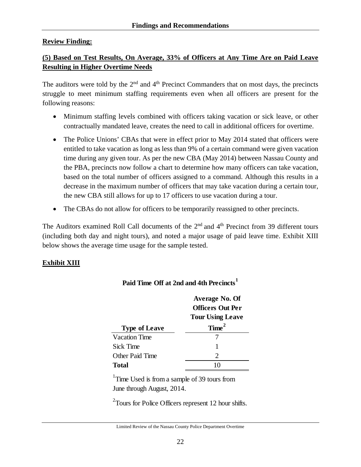### **Review Finding:**

# **(5) Based on Test Results, On Average, 33% of Officers at Any Time Are on Paid Leave Resulting in Higher Overtime Needs**

The auditors were told by the  $2<sup>nd</sup>$  and  $4<sup>th</sup>$  Precinct Commanders that on most days, the precincts struggle to meet minimum staffing requirements even when all officers are present for the following reasons:

- Minimum staffing levels combined with officers taking vacation or sick leave, or other contractually mandated leave, creates the need to call in additional officers for overtime.
- The Police Unions' CBAs that were in effect prior to May 2014 stated that officers were entitled to take vacation as long as less than 9% of a certain command were given vacation time during any given tour. As per the new CBA (May 2014) between Nassau County and the PBA, precincts now follow a chart to determine how many officers can take vacation, based on the total number of officers assigned to a command. Although this results in a decrease in the maximum number of officers that may take vacation during a certain tour, the new CBA still allows for up to 17 officers to use vacation during a tour.
- The CBAs do not allow for officers to be temporarily reassigned to other precincts.

The Auditors examined Roll Call documents of the 2<sup>nd</sup> and 4<sup>th</sup> Precinct from 39 different tours (including both day and night tours), and noted a major usage of paid leave time. Exhibit XIII below shows the average time usage for the sample tested.

# **Exhibit XIII**

|                      | Average No. Of              |
|----------------------|-----------------------------|
|                      | <b>Officers Out Per</b>     |
|                      | <b>Tour Using Leave</b>     |
| <b>Type of Leave</b> | Time <sup>2</sup>           |
| <b>Vacation Time</b> |                             |
| <b>Sick Time</b>     |                             |
| Other Paid Time      | $\mathcal{D}_{\mathcal{L}}$ |
| Total                |                             |

# **Paid Time Off at 2nd and 4th Precincts<sup>1</sup>**

<sup>1</sup>Time Used is from a sample of 39 tours from June through August, 2014.

 $2$ Tours for Police Officers represent 12 hour shifts.

Limited Review of the Nassau County Police Department Overtime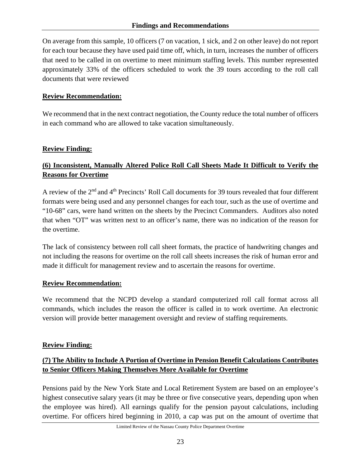On average from this sample, 10 officers (7 on vacation, 1 sick, and 2 on other leave) do not report for each tour because they have used paid time off, which, in turn, increases the number of officers that need to be called in on overtime to meet minimum staffing levels. This number represented approximately 33% of the officers scheduled to work the 39 tours according to the roll call documents that were reviewed

# **Review Recommendation:**

We recommend that in the next contract negotiation, the County reduce the total number of officers in each command who are allowed to take vacation simultaneously.

# **Review Finding:**

# **(6) Inconsistent, Manually Altered Police Roll Call Sheets Made It Difficult to Verify the Reasons for Overtime**

A review of the 2nd and 4th Precincts' Roll Call documents for 39 tours revealed that four different formats were being used and any personnel changes for each tour, such as the use of overtime and "10-68" cars, were hand written on the sheets by the Precinct Commanders. Auditors also noted that when "OT" was written next to an officer's name, there was no indication of the reason for the overtime.

The lack of consistency between roll call sheet formats, the practice of handwriting changes and not including the reasons for overtime on the roll call sheets increases the risk of human error and made it difficult for management review and to ascertain the reasons for overtime.

### **Review Recommendation:**

We recommend that the NCPD develop a standard computerized roll call format across all commands, which includes the reason the officer is called in to work overtime. An electronic version will provide better management oversight and review of staffing requirements.

### **Review Finding:**

# **(7) The Ability to Include A Portion of Overtime in Pension Benefit Calculations Contributes to Senior Officers Making Themselves More Available for Overtime**

Pensions paid by the New York State and Local Retirement System are based on an employee's highest consecutive salary years (it may be three or five consecutive years, depending upon when the employee was hired). All earnings qualify for the pension payout calculations, including overtime. For officers hired beginning in 2010, a cap was put on the amount of overtime that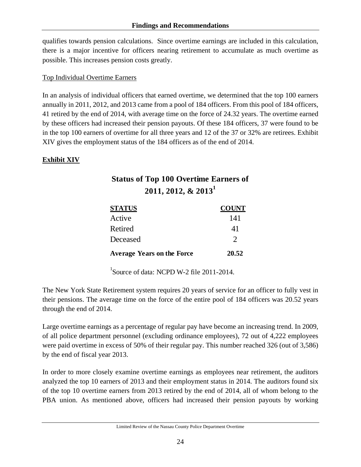qualifies towards pension calculations. Since overtime earnings are included in this calculation, there is a major incentive for officers nearing retirement to accumulate as much overtime as possible. This increases pension costs greatly.

#### Top Individual Overtime Earners

In an analysis of individual officers that earned overtime, we determined that the top 100 earners annually in 2011, 2012, and 2013 came from a pool of 184 officers. From this pool of 184 officers, 41 retired by the end of 2014, with average time on the force of 24.32 years. The overtime earned by these officers had increased their pension payouts. Of these 184 officers, 37 were found to be in the top 100 earners of overtime for all three years and 12 of the 37 or 32% are retirees. Exhibit XIV gives the employment status of the 184 officers as of the end of 2014.

# **Exhibit XIV**

# **Status of Top 100 Overtime Earners of 2011, 2012, & 2013<sup>1</sup>**

| <b>STATUS</b>                     | <b>COUNT</b>  |
|-----------------------------------|---------------|
| Active                            | 141           |
| Retired                           | 41            |
| Deceased                          | $\mathcal{D}$ |
| <b>Average Years on the Force</b> | 20.52         |

<sup>1</sup>Source of data: NCPD W-2 file 2011-2014.

The New York State Retirement system requires 20 years of service for an officer to fully vest in their pensions. The average time on the force of the entire pool of 184 officers was 20.52 years through the end of 2014.

Large overtime earnings as a percentage of regular pay have become an increasing trend. In 2009, of all police department personnel (excluding ordinance employees), 72 out of 4,222 employees were paid overtime in excess of 50% of their regular pay. This number reached 326 (out of 3,586) by the end of fiscal year 2013.

In order to more closely examine overtime earnings as employees near retirement, the auditors analyzed the top 10 earners of 2013 and their employment status in 2014. The auditors found six of the top 10 overtime earners from 2013 retired by the end of 2014, all of whom belong to the PBA union. As mentioned above, officers had increased their pension payouts by working

Limited Review of the Nassau County Police Department Overtime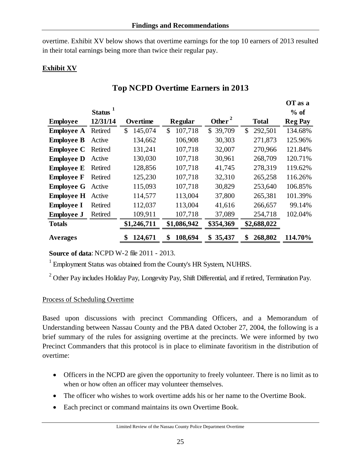overtime. Exhibit XV below shows that overtime earnings for the top 10 earners of 2013 resulted in their total earnings being more than twice their regular pay.

# **Exhibit XV**

|                   |            |               |                |                    |               | OT as a        |
|-------------------|------------|---------------|----------------|--------------------|---------------|----------------|
|                   | Status $1$ |               |                |                    |               | $%$ of         |
| <b>Employee</b>   | 12/31/14   | Overtime      | <b>Regular</b> | Other <sup>2</sup> | <b>Total</b>  | <b>Reg Pay</b> |
| <b>Employee A</b> | Retired    | 145,074<br>\$ | 107,718<br>\$  | 39,709<br>\$       | 292,501<br>\$ | 134.68%        |
| <b>Employee B</b> | Active     | 134,662       | 106,908        | 30,303             | 271,873       | 125.96%        |
| <b>Employee C</b> | Retired    | 131,241       | 107,718        | 32,007             | 270,966       | 121.84%        |
| <b>Employee D</b> | Active     | 130,030       | 107,718        | 30,961             | 268,709       | 120.71%        |
| <b>Employee E</b> | Retired    | 128,856       | 107,718        | 41,745             | 278,319       | 119.62%        |
| <b>Employee F</b> | Retired    | 125,230       | 107,718        | 32,310             | 265,258       | 116.26%        |
| <b>Employee G</b> | Active     | 115,093       | 107,718        | 30,829             | 253,640       | 106.85%        |
| <b>Employee H</b> | Active     | 114,577       | 113,004        | 37,800             | 265,381       | 101.39%        |
| <b>Employee I</b> | Retired    | 112,037       | 113,004        | 41,616             | 266,657       | 99.14%         |
| <b>Employee J</b> | Retired    | 109,911       | 107,718        | 37,089             | 254,718       | 102.04%        |
| <b>Totals</b>     |            | \$1,246,711   | \$1,086,942    | \$354,369          | \$2,688,022   |                |
| <b>Averages</b>   |            | \$<br>124,671 | \$<br>108,694  | 35,437<br>\$       | 268,802<br>\$ | 114.70%        |

# **Top NCPD Overtime Earners in 2013**

**Source of data**: NCPD W-2 file 2011 - 2013.

1 Employment Status was obtained from the County's HR System, NUHRS.

<sup>2</sup> Other Pay includes Holiday Pay, Longevity Pay, Shift Differential, and if retired, Termination Pay.

### Process of Scheduling Overtime

Based upon discussions with precinct Commanding Officers, and a Memorandum of Understanding between Nassau County and the PBA dated October 27, 2004, the following is a brief summary of the rules for assigning overtime at the precincts. We were informed by two Precinct Commanders that this protocol is in place to eliminate favoritism in the distribution of overtime:

- Officers in the NCPD are given the opportunity to freely volunteer. There is no limit as to when or how often an officer may volunteer themselves.
- The officer who wishes to work overtime adds his or her name to the Overtime Book.
- Each precinct or command maintains its own Overtime Book.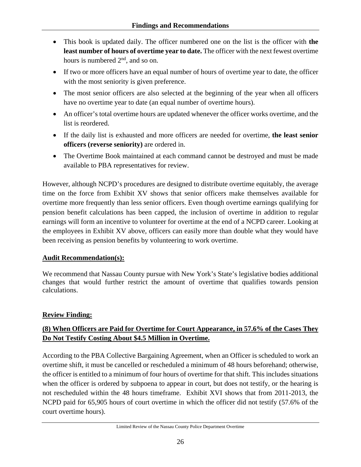- This book is updated daily. The officer numbered one on the list is the officer with **the least number of hours of overtime year to date.** The officer with the next fewest overtime hours is numbered  $2<sup>nd</sup>$ , and so on.
- If two or more officers have an equal number of hours of overtime year to date, the officer with the most seniority is given preference.
- The most senior officers are also selected at the beginning of the year when all officers have no overtime year to date (an equal number of overtime hours).
- An officer's total overtime hours are updated whenever the officer works overtime, and the list is reordered.
- If the daily list is exhausted and more officers are needed for overtime, **the least senior officers (reverse seniority)** are ordered in.
- The Overtime Book maintained at each command cannot be destroyed and must be made available to PBA representatives for review.

However, although NCPD's procedures are designed to distribute overtime equitably, the average time on the force from Exhibit XV shows that senior officers make themselves available for overtime more frequently than less senior officers. Even though overtime earnings qualifying for pension benefit calculations has been capped, the inclusion of overtime in addition to regular earnings will form an incentive to volunteer for overtime at the end of a NCPD career. Looking at the employees in Exhibit XV above, officers can easily more than double what they would have been receiving as pension benefits by volunteering to work overtime.

# **Audit Recommendation(s):**

We recommend that Nassau County pursue with New York's State's legislative bodies additional changes that would further restrict the amount of overtime that qualifies towards pension calculations.

# **Review Finding:**

# **(8) When Officers are Paid for Overtime for Court Appearance, in 57.6% of the Cases They Do Not Testify Costing About \$4.5 Million in Overtime.**

According to the PBA Collective Bargaining Agreement, when an Officer is scheduled to work an overtime shift, it must be cancelled or rescheduled a minimum of 48 hours beforehand; otherwise, the officer is entitled to a minimum of four hours of overtime for that shift. This includes situations when the officer is ordered by subpoena to appear in court, but does not testify, or the hearing is not rescheduled within the 48 hours timeframe. Exhibit XVI shows that from 2011-2013, the NCPD paid for 65,905 hours of court overtime in which the officer did not testify (57.6% of the court overtime hours).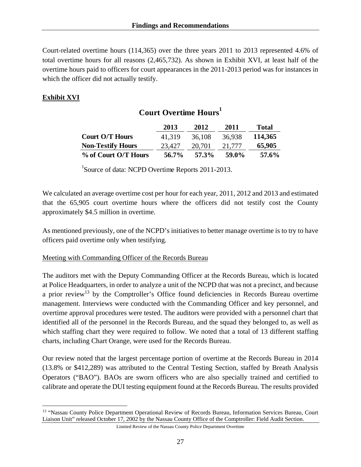Court-related overtime hours (114,365) over the three years 2011 to 2013 represented 4.6% of total overtime hours for all reasons (2,465,732). As shown in Exhibit XVI, at least half of the overtime hours paid to officers for court appearances in the 2011-2013 period was for instances in which the officer did not actually testify.

# **Exhibit XVI**

 $\overline{a}$ 

# **Court Overtime Hours<sup>1</sup>**

|                          | 2013   | 2012   | 2011   | Total   |
|--------------------------|--------|--------|--------|---------|
| <b>Court O/T Hours</b>   | 41.319 | 36.108 | 36.938 | 114,365 |
| <b>Non-Testify Hours</b> | 23,427 | 20,701 | 21.777 | 65,905  |
| % of Court O/T Hours     | 56.7%  | 57.3%  | 59.0%  | 57.6%   |

<sup>1</sup>Source of data: NCPD Overtime Reports 2011-2013.

We calculated an average overtime cost per hour for each year, 2011, 2012 and 2013 and estimated that the 65,905 court overtime hours where the officers did not testify cost the County approximately \$4.5 million in overtime.

As mentioned previously, one of the NCPD's initiatives to better manage overtime is to try to have officers paid overtime only when testifying.

### Meeting with Commanding Officer of the Records Bureau

The auditors met with the Deputy Commanding Officer at the Records Bureau, which is located at Police Headquarters, in order to analyze a unit of the NCPD that was not a precinct, and because a prior review<sup>13</sup> by the Comptroller's Office found deficiencies in Records Bureau overtime management. Interviews were conducted with the Commanding Officer and key personnel, and overtime approval procedures were tested. The auditors were provided with a personnel chart that identified all of the personnel in the Records Bureau, and the squad they belonged to, as well as which staffing chart they were required to follow. We noted that a total of 13 different staffing charts, including Chart Orange, were used for the Records Bureau.

Our review noted that the largest percentage portion of overtime at the Records Bureau in 2014 (13.8% or \$412,289) was attributed to the Central Testing Section, staffed by Breath Analysis Operators ("BAO"). BAOs are sworn officers who are also specially trained and certified to calibrate and operate the DUI testing equipment found at the Records Bureau. The results provided

<sup>&</sup>lt;sup>13</sup> "Nassau County Police Department Operational Review of Records Bureau, Information Services Bureau, Court Liaison Unit" released October 17, 2002 by the Nassau County Office of the Comptroller: Field Audit Section.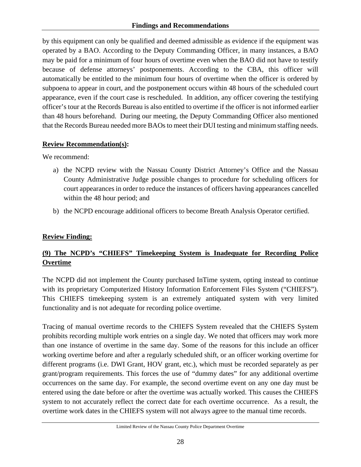by this equipment can only be qualified and deemed admissible as evidence if the equipment was operated by a BAO. According to the Deputy Commanding Officer, in many instances, a BAO may be paid for a minimum of four hours of overtime even when the BAO did not have to testify because of defense attorneys' postponements. According to the CBA, this officer will automatically be entitled to the minimum four hours of overtime when the officer is ordered by subpoena to appear in court, and the postponement occurs within 48 hours of the scheduled court appearance, even if the court case is rescheduled. In addition, any officer covering the testifying officer's tour at the Records Bureau is also entitled to overtime if the officer is not informed earlier than 48 hours beforehand. During our meeting, the Deputy Commanding Officer also mentioned that the Records Bureau needed more BAOs to meet their DUI testing and minimum staffing needs.

# **Review Recommendation(s):**

We recommend:

- a) the NCPD review with the Nassau County District Attorney's Office and the Nassau County Administrative Judge possible changes to procedure for scheduling officers for court appearances in order to reduce the instances of officers having appearances cancelled within the 48 hour period; and
- b) the NCPD encourage additional officers to become Breath Analysis Operator certified.

# **Review Finding:**

# **(9) The NCPD's "CHIEFS" Timekeeping System is Inadequate for Recording Police Overtime**

The NCPD did not implement the County purchased InTime system, opting instead to continue with its proprietary Computerized History Information Enforcement Files System ("CHIEFS"). This CHIEFS timekeeping system is an extremely antiquated system with very limited functionality and is not adequate for recording police overtime.

Tracing of manual overtime records to the CHIEFS System revealed that the CHIEFS System prohibits recording multiple work entries on a single day. We noted that officers may work more than one instance of overtime in the same day. Some of the reasons for this include an officer working overtime before and after a regularly scheduled shift, or an officer working overtime for different programs (i.e. DWI Grant, HOV grant, etc.), which must be recorded separately as per grant/program requirements. This forces the use of "dummy dates" for any additional overtime occurrences on the same day. For example, the second overtime event on any one day must be entered using the date before or after the overtime was actually worked. This causes the CHIEFS system to not accurately reflect the correct date for each overtime occurrence. As a result, the overtime work dates in the CHIEFS system will not always agree to the manual time records.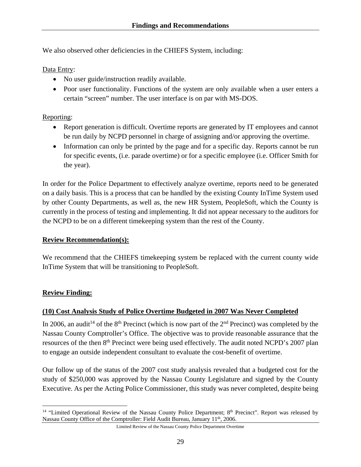We also observed other deficiencies in the CHIEFS System, including:

Data Entry:

- No user guide/instruction readily available.
- Poor user functionality. Functions of the system are only available when a user enters a certain "screen" number. The user interface is on par with MS-DOS.

# Reporting:

- Report generation is difficult. Overtime reports are generated by IT employees and cannot be run daily by NCPD personnel in charge of assigning and/or approving the overtime.
- Information can only be printed by the page and for a specific day. Reports cannot be run for specific events, (i.e. parade overtime) or for a specific employee (i.e. Officer Smith for the year).

In order for the Police Department to effectively analyze overtime, reports need to be generated on a daily basis. This is a process that can be handled by the existing County InTime System used by other County Departments, as well as, the new HR System, PeopleSoft, which the County is currently in the process of testing and implementing. It did not appear necessary to the auditors for the NCPD to be on a different timekeeping system than the rest of the County.

### **Review Recommendation(s):**

We recommend that the CHIEFS timekeeping system be replaced with the current county wide InTime System that will be transitioning to PeopleSoft.

### **Review Finding:**

1

# **(10) Cost Analysis Study of Police Overtime Budgeted in 2007 Was Never Completed**

In 2006, an audit<sup>14</sup> of the 8<sup>th</sup> Precinct (which is now part of the 2<sup>nd</sup> Precinct) was completed by the Nassau County Comptroller's Office. The objective was to provide reasonable assurance that the resources of the then 8<sup>th</sup> Precinct were being used effectively. The audit noted NCPD's 2007 plan to engage an outside independent consultant to evaluate the cost-benefit of overtime.

Our follow up of the status of the 2007 cost study analysis revealed that a budgeted cost for the study of \$250,000 was approved by the Nassau County Legislature and signed by the County Executive. As per the Acting Police Commissioner, this study was never completed, despite being

<sup>&</sup>lt;sup>14</sup> "Limited Operational Review of the Nassau County Police Department; 8<sup>th</sup> Precinct". Report was released by Nassau County Office of the Comptroller: Field Audit Bureau, January 11<sup>th</sup>, 2006.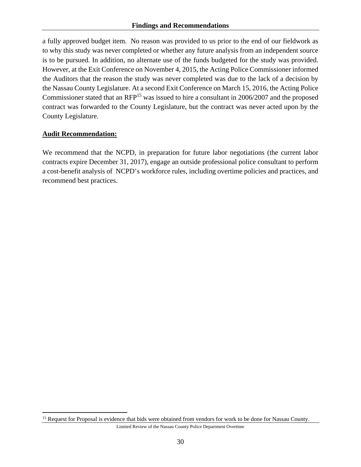a fully approved budget item. No reason was provided to us prior to the end of our fieldwork as to why this study was never completed or whether any future analysis from an independent source is to be pursued. In addition, no alternate use of the funds budgeted for the study was provided. However, at the Exit Conference on November 4, 2015, the Acting Police Commissioner informed the Auditors that the reason the study was never completed was due to the lack of a decision by the Nassau County Legislature. At a second Exit Conference on March 15, 2016, the Acting Police Commissioner stated that an RFP15 was issued to hire a consultant in 2006/2007 and the proposed contract was forwarded to the County Legislature, but the contract was never acted upon by the County Legislature.

# **Audit Recommendation:**

1

We recommend that the NCPD, in preparation for future labor negotiations (the current labor contracts expire December 31, 2017), engage an outside professional police consultant to perform a cost-benefit analysis of NCPD's workforce rules, including overtime policies and practices, and recommend best practices.

<sup>&</sup>lt;sup>15</sup> Request for Proposal is evidence that bids were obtained from vendors for work to be done for Nassau County.

Limited Review of the Nassau County Police Department Overtime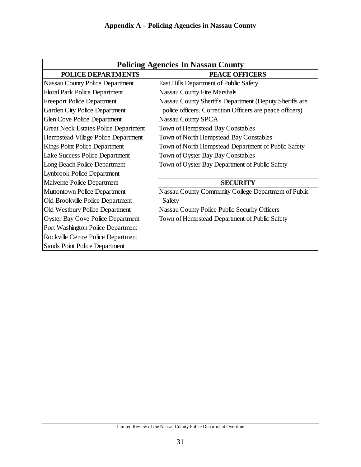| <b>Policing Agencies In Nassau County</b>   |                                                          |  |  |  |  |  |  |  |
|---------------------------------------------|----------------------------------------------------------|--|--|--|--|--|--|--|
| <b>POLICE DEPARTMENTS</b>                   | <b>PEACE OFFICERS</b>                                    |  |  |  |  |  |  |  |
| <b>Nassau County Police Department</b>      | East Hills Department of Public Safety                   |  |  |  |  |  |  |  |
| <b>Floral Park Police Department</b>        | <b>Nassau County Fire Marshals</b>                       |  |  |  |  |  |  |  |
| <b>Freeport Police Department</b>           | Nassau County Sheriff's Department (Deputy Sheriffs are  |  |  |  |  |  |  |  |
| <b>Garden City Police Department</b>        | police officers. Correction Officers are peace officers) |  |  |  |  |  |  |  |
| <b>Glen Cove Police Department</b>          | <b>Nassau County SPCA</b>                                |  |  |  |  |  |  |  |
| <b>Great Neck Estates Police Department</b> | Town of Hempstead Bay Constables                         |  |  |  |  |  |  |  |
| Hempstead Village Police Department         | Town of North Hempstead Bay Constables                   |  |  |  |  |  |  |  |
| Kings Point Police Department               | Town of North Hempstead Department of Public Safety      |  |  |  |  |  |  |  |
| Lake Success Police Department              | Town of Oyster Bay Bay Constables                        |  |  |  |  |  |  |  |
| Long Beach Police Department                | Town of Oyster Bay Department of Public Safety           |  |  |  |  |  |  |  |
| <b>Lynbrook Police Department</b>           |                                                          |  |  |  |  |  |  |  |
| Malverne Police Department                  | <b>SECURITY</b>                                          |  |  |  |  |  |  |  |
| <b>Muttontown Police Department</b>         | Nassau County Community College Department of Public     |  |  |  |  |  |  |  |
| Old Brookville Police Department            | Safety                                                   |  |  |  |  |  |  |  |
| Old Westbury Police Department              | Nassau County Police Public Security Officers            |  |  |  |  |  |  |  |
| <b>Oyster Bay Cove Police Department</b>    | Town of Hempstead Department of Public Safety            |  |  |  |  |  |  |  |
| Port Washington Police Department           |                                                          |  |  |  |  |  |  |  |
| Rockville Centre Police Department          |                                                          |  |  |  |  |  |  |  |
| Sands Point Police Department               |                                                          |  |  |  |  |  |  |  |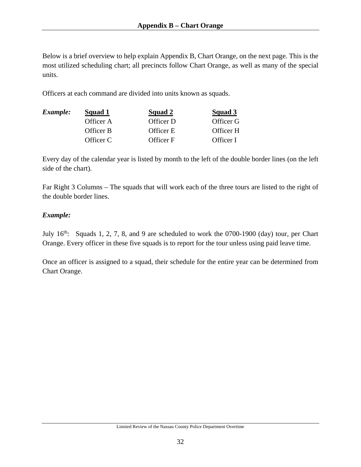Below is a brief overview to help explain Appendix B, Chart Orange, on the next page. This is the most utilized scheduling chart; all precincts follow Chart Orange, as well as many of the special units.

Officers at each command are divided into units known as squads.

| Example: | Squad 1   | Squad 2   | Squad 3   |
|----------|-----------|-----------|-----------|
|          | Officer A | Officer D | Officer G |
|          | Officer B | Officer E | Officer H |
|          | Officer C | Officer F | Officer I |

Every day of the calendar year is listed by month to the left of the double border lines (on the left side of the chart).

Far Right 3 Columns – The squads that will work each of the three tours are listed to the right of the double border lines.

# *Example:*

July  $16<sup>th</sup>$ : Squads 1, 2, 7, 8, and 9 are scheduled to work the 0700-1900 (day) tour, per Chart Orange. Every officer in these five squads is to report for the tour unless using paid leave time.

Once an officer is assigned to a squad, their schedule for the entire year can be determined from Chart Orange.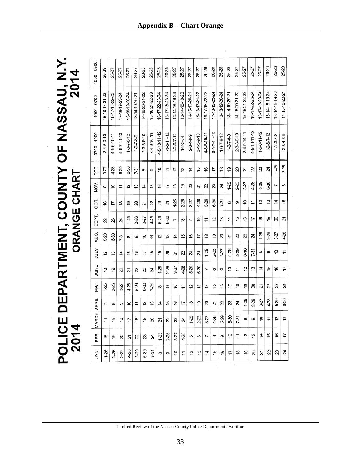|                                           | 2014                |
|-------------------------------------------|---------------------|
| POLICE DEPARTMENT, COUNTY OF NASSAU, N.Y. | <b>ORANGE CHART</b> |
|                                           |                     |
|                                           | 2014                |

 $\vec{\epsilon}$ 

| 1900 - 0500  | 25-28            | 25-27          | 25-27          | 26-27          | 26-27               | 26-28                | 26-28          | 25-28          | 25-28          | 25-27                | 25-27               | 26-27          | 26-27          | 26-28          | 26-28          | 25-28          | 25-28               | 25-27                | 25-27          | 26-27          | 26-27          | 26-28                | 26-28               | 25-28          |
|--------------|------------------|----------------|----------------|----------------|---------------------|----------------------|----------------|----------------|----------------|----------------------|---------------------|----------------|----------------|----------------|----------------|----------------|---------------------|----------------------|----------------|----------------|----------------|----------------------|---------------------|----------------|
| 1900 - 0700  | 15-16-17-21-22   | 16-17-18-22-23 | 17-18-19-23-24 | 13-18-19-20-24 | 13-14-19-20-21      | 14-15-20-21-22       | 15-16-21-22-23 | 16-17-22-23-24 | 13-17-18-23-24 | 13-14-18-19-24       | 13-14-15-19-20      | 14-15-16-20-21 | 15-16-17-21-22 | 16-17-18-22-23 | 17-18-19-23-24 | 13-18-19-20-24 | 13-14-19-20-21      | 14-15-20-21-22       | 15-16-21-22-23 | 16-17-22-23-24 | 13-17-18-23-24 | 13-14-18-19-24       | 13-14-15-19-20      | 14-15-16-20-21 |
| 0700 - 1900  | $3 - 5 - 9 - 10$ | 4-5-6-10-11    | 5-6-7-11-12    | $1-6-7-8-12$   | $1 - 2 - 7 - 8 - 9$ | $2 - 3 - 8 - 9 - 10$ | 3-4-9-10-11    | 4-5-10-11-12   | 1-5-6-11-12    | $1 - 2 - 6 - 7 - 12$ | $1 - 2 - 3 - 7 - 8$ | 2-3-4-8-9      | $34-5-9-10$    | 4-5-6-10-11    | 5-6-7-11-12    | $1-6-7-8-12$   | $1 - 2 - 7 - 8 - 9$ | $2 - 3 - 8 - 9 - 10$ | 3-4-9-10-11    | 4-5-10-11-12   | 1-5-6-11-12    | $1 - 2 - 6 - 7 - 12$ | $1 - 2 - 3 - 7 - 8$ | 2-3-4-8-9      |
| DEC.         | 3-27             | 4-28           | 5-29           | 6-30           | $7-31$              | œ                    | တ              | ă              | 1              | 5                    | చై                  | 4              | 15             | 9              | 17             | <u>۾</u>       | စ္                  | g                    | 21             | R              | 23             | 24                   | $1-25$              | 2-26           |
| NOV.         | თ                | ģ              | 7              | 57             | 13                  | 4                    | 46             | 9              | 47             | \$                   | စ္                  | 20             | 21             | R              | 23             | 24             | $1-25$              | 2-26                 | $3-27$         | 4-28           | 5-29           | 6-30                 | Z                   | $\infty$       |
| OCT.         | 9                | 17             | \$             | စ္             | 20                  | 21                   | 2              | 23             | 24             | $1-25$               | 2-26                | 3-27           | 4-28           | 5-29           | 6-30           | $7-31$         | ထ                   | စ                    | ő              | H              | ί5             | 13                   | 4                   | 15             |
| SEPT.        | 2                | 23             | 24             | $1-25$         | 2-26                | 3-27                 | 4-28           | 5-29           | 6-30           | ド                    | $\infty$            | တ              | å              | ż              | 5              | చ              | 4                   | 45                   | 9              | 17             | هٖ             | é,                   | 20                  | 21             |
| AUG.         | 5-29             | 6-30           | $7-31$         | 8              | თ                   | ő                    | H              | 5              | 13             | 4                    | 15                  | 9              | 17             | €              | ღ              | 20             | 21                  | Z                    | 23             | 24             | $1-25$         | 2-26                 | 3-27                | 4-28           |
| <b>ATILY</b> | 5                | 13             | 4              | 15             | 9                   | 17                   | ₽              | စ္             | 20             | ম                    | R                   | 23             | 24             | $1-25$         | 2-26           | 3-27           | 4-28                | 5-29                 | 6-30           | $7-31$         | 8              | თ                    | ő                   | ż              |
| <b>HNE</b>   | ≌                | စ္             | 20             | 21             | 22                  | 23                   | 24             | $1-25$         | 2-26           | 3-27                 | 4-28                | 5-29           | 6-30           | Ľ              | $\infty$       | စ              | ő                   | 7                    | 57             | 13             | 4              | 49                   | 9                   | 17             |
| <b>MAY</b>   | $1-25$           | 2-26           | 3-27           | 4-28           | 5-29                | 6-30                 | $7-31$         | $\infty$       | თ              | ő                    | H                   | 5              | చ              | 4              | 15             | 9              | 17                  | \$                   | စ္             | 20             | 21             | 22                   | 23                  | 24             |
|              | Z                | 8              | თ              | ő              | ∓                   | 5                    | చ              | 4              | 45             | 9                    | 17                  | ă              | စ္             | 20             | 21             | Z              | జ                   | 24                   | $1-25$         | 2-26           | 3-27           | 4-28                 | 5-29                | 6-30           |
| MARCH APRIL  | 4                | 45             |                |                | ≌                   | ဍ                    | ສ              | ম              | R              | 23                   | ম                   | $1-25$         | 2-26           | 3-27           | 4-28           | 5-29           | 6-30                | 7-31                 | œ              |                | O              |                      | $\mathbf{\hat{z}}$  | S              |
| EB.          | έ                | စ္             | 20             | 51             | 22                  | 23                   | 24             | $1-25$         | 2-26           | $3 - 27$             | 4-28                | 5              | 6              | Ľ              | $\infty$       | စာ             | S                   | H                    | 57             | చ              | 4              | 49                   | 9                   | 17             |
| ЗÄ.          | $1-25$           | 2-26           | $3 - 27$       | 4-28           | 5-29                | $6 - 30$             | $7-31$         | 8              | თ              | ő                    | 7                   | 12             | 13             | 4              | 15             | \$             | 17                  | $\frac{8}{1}$        | စ္             | 20             | 51             | 22                   | 23                  | 24             |
|              |                  |                |                |                |                     |                      |                |                |                |                      |                     |                |                |                |                |                |                     |                      |                |                |                |                      |                     |                |

 $\overline{\phantom{a}}$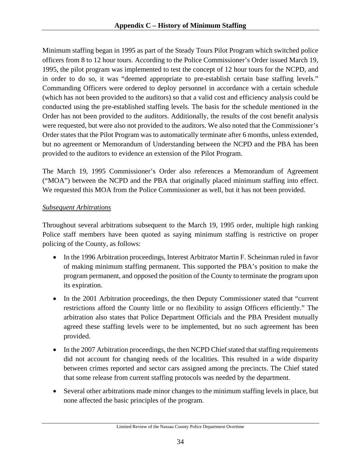Minimum staffing began in 1995 as part of the Steady Tours Pilot Program which switched police officers from 8 to 12 hour tours. According to the Police Commissioner's Order issued March 19, 1995, the pilot program was implemented to test the concept of 12 hour tours for the NCPD, and in order to do so, it was "deemed appropriate to pre-establish certain base staffing levels." Commanding Officers were ordered to deploy personnel in accordance with a certain schedule (which has not been provided to the auditors) so that a valid cost and efficiency analysis could be conducted using the pre-established staffing levels. The basis for the schedule mentioned in the Order has not been provided to the auditors. Additionally, the results of the cost benefit analysis were requested, but were also not provided to the auditors. We also noted that the Commissioner's Order states that the Pilot Program was to automatically terminate after 6 months, unless extended, but no agreement or Memorandum of Understanding between the NCPD and the PBA has been provided to the auditors to evidence an extension of the Pilot Program.

The March 19, 1995 Commissioner's Order also references a Memorandum of Agreement ("MOA") between the NCPD and the PBA that originally placed minimum staffing into effect. We requested this MOA from the Police Commissioner as well, but it has not been provided.

# *Subsequent Arbitrations*

Throughout several arbitrations subsequent to the March 19, 1995 order, multiple high ranking Police staff members have been quoted as saying minimum staffing is restrictive on proper policing of the County, as follows:

- In the 1996 Arbitration proceedings, Interest Arbitrator Martin F. Scheinman ruled in favor of making minimum staffing permanent. This supported the PBA's position to make the program permanent, and opposed the position of the County to terminate the program upon its expiration.
- In the 2001 Arbitration proceedings, the then Deputy Commissioner stated that "current" restrictions afford the County little or no flexibility to assign Officers efficiently." The arbitration also states that Police Department Officials and the PBA President mutually agreed these staffing levels were to be implemented, but no such agreement has been provided.
- In the 2007 Arbitration proceedings, the then NCPD Chief stated that staffing requirements did not account for changing needs of the localities. This resulted in a wide disparity between crimes reported and sector cars assigned among the precincts. The Chief stated that some release from current staffing protocols was needed by the department.
- Several other arbitrations made minor changes to the minimum staffing levels in place, but none affected the basic principles of the program.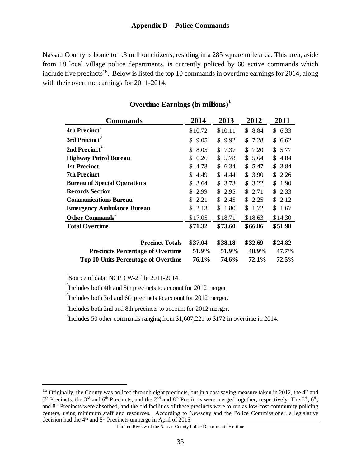Nassau County is home to 1.3 million citizens, residing in a 285 square mile area. This area, aside from 18 local village police departments, is currently policed by 60 active commands which include five precincts<sup>16</sup>. Below is listed the top 10 commands in overtime earnings for 2014, along with their overtime earnings for 2011-2014.

| <b>Commands</b>                         | 2014        | 2013       | 2012       | 2011       |
|-----------------------------------------|-------------|------------|------------|------------|
| 4th Precinct <sup>2</sup>               | \$10.72     | \$10.11    | \$8.84     | \$6.33     |
| 3rd Precinct <sup>3</sup>               | 9.05<br>\$. | \$9.92     | \$ 7.28    | \$ 6.62    |
| 2nd Precinct <sup>4</sup>               | 8.05<br>\$. | \$ 7.37    | \$7.20     | \$5.77     |
| <b>Highway Patrol Bureau</b>            | 6.26<br>S   | 5.78<br>\$ | S.<br>5.64 | \$4.84     |
| 1st Precinct                            | 4.73<br>S   | \$6.34     | \$5.47     | \$3.84     |
| <b>7th Precinct</b>                     | 4.49<br>\$. | \$4.44     | \$3.90     | \$2.26     |
| <b>Bureau of Special Operations</b>     | 3.64<br>\$  | \$3.73     | \$3.22     | 1.90<br>S. |
| <b>Records Section</b>                  | 2.99<br>S.  | \$2.95     | S.<br>2.71 | \$ 2.33    |
| <b>Communications Bureau</b>            | 2.21<br>S.  | \$2.45     | \$2.25     | \$ 2.12    |
| <b>Emergency Ambulance Bureau</b>       | \$2.13      | \$ 1.80    | \$ 1.72    | \$1.67     |
| Other Commands <sup>5</sup>             | \$17.05     | \$18.71    | \$18.63    | \$14.30    |
| <b>Total Overtime</b>                   | \$71.32     | \$73.60    | \$66.86    | \$51.98    |
| <b>Precinct Totals</b>                  | \$37.04     | \$38.18    | \$32.69    | \$24.82    |
| <b>Precincts Percentage of Overtime</b> | 51.9%       | 51.9%      | 48.9%      | 47.7%      |
| Top 10 Units Percentage of Overtime     | 76.1%       | 74.6%      | 72.1%      | 72.5%      |

# **Overtime Earnings (in millions) 1**

<sup>1</sup>Source of data: NCPD W-2 file 2011-2014.

 $\overline{a}$ 

 $2$ Includes both 4th and 5th precincts to account for 2012 merger.

<sup>3</sup>Includes both 3rd and 6th precincts to account for 2012 merger.

<sup>4</sup>Includes both 2nd and 8th precincts to account for 2012 merger.

<sup>5</sup>Includes 50 other commands ranging from \$1,607,221 to \$172 in overtime in 2014.

<sup>&</sup>lt;sup>16</sup> Originally, the County was policed through eight precincts, but in a cost saving measure taken in 2012, the  $4<sup>th</sup>$  and  $5<sup>th</sup>$  Precincts, the 3<sup>rd</sup> and 6<sup>th</sup> Precincts, and the 2<sup>nd</sup> and 8<sup>th</sup> Precincts were merged together, respectively. The  $5<sup>th</sup>$ , 6<sup>th</sup>, and 8th Precincts were absorbed, and the old facilities of these precincts were to run as low-cost community policing centers, using minimum staff and resources. According to Newsday and the Police Commissioner, a legislative decision had the  $4<sup>th</sup>$  and  $5<sup>th</sup>$  Precincts unmerge in April of 2015.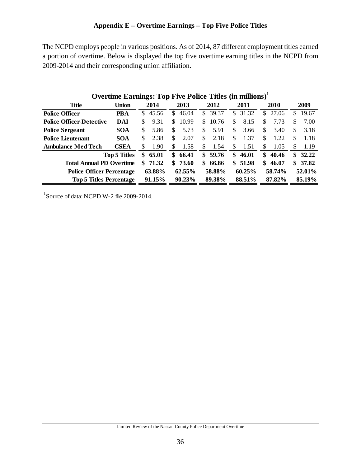The NCPD employs people in various positions. As of 2014, 87 different employment titles earned a portion of overtime. Below is displayed the top five overtime earning titles in the NCPD from 2009-2014 and their corresponding union affiliation.

|                                  | Overlime Earnings: 1 op Five Police Titles (in millions) |     |        |     |        |     |         |     |        |     |        |     |        |
|----------------------------------|----------------------------------------------------------|-----|--------|-----|--------|-----|---------|-----|--------|-----|--------|-----|--------|
| <b>Title</b>                     | Union                                                    |     | 2014   |     | 2013   |     | 2012    |     | 2011   |     | 2010   |     | 2009   |
| <b>Police Officer</b>            | PBA                                                      | S.  | 45.56  | \$. | 46.04  |     | \$39.37 | S.  | 31.32  | \$. | 27.06  | S   | 19.67  |
| <b>Police Officer-Detective</b>  | DAI                                                      | S   | 9.31   | \$. | 10.99  | \$  | 10.76   | S.  | 8.15   | S   | 7.73   | S   | 7.00   |
| <b>Police Sergeant</b>           | <b>SOA</b>                                               | \$. | 5.86   | S   | 5.73   | S   | 5.91    | \$. | 3.66   | \$  | 3.40   | \$  | 3.18   |
| <b>Police Lieutenant</b>         | <b>SOA</b>                                               | S   | 2.38   | \$. | 2.07   | \$. | 2.18    | \$  | 1.37   | \$  | 1.22   | S.  | 1.18   |
| <b>Ambulance Med Tech</b>        | <b>CSEA</b>                                              | \$  | 1.90   | \$  | 1.58   | \$. | 1.54    | \$. | 1.51   | \$  | 1.05   | \$. | 1.19   |
|                                  | <b>Top 5 Titles</b>                                      | \$  | 65.01  | \$  | 66.41  | SS. | 59.76   | \$  | 46.01  | \$  | 40.46  | \$  | 32.22  |
| <b>Total Annual PD Overtime</b>  |                                                          | SS. | 71.32  | \$  | 73.60  | \$  | 66.86   | \$  | 51.98  | \$  | 46.07  | \$  | 37.82  |
| <b>Police Officer Percentage</b> |                                                          |     | 63.88% |     | 62.55% |     | 58.88%  |     | 60.25% |     | 58.74% |     | 52.01% |
| <b>Top 5 Titles Percentage</b>   |                                                          |     | 91.15% |     | 90.23% |     | 89.38%  |     | 88.51% |     | 87.82% |     | 85.19% |

# **Overtime Earnings: Top Five Police Titles (in millions)1**

1 Source of data: NCPD W-2 file 2009-2014.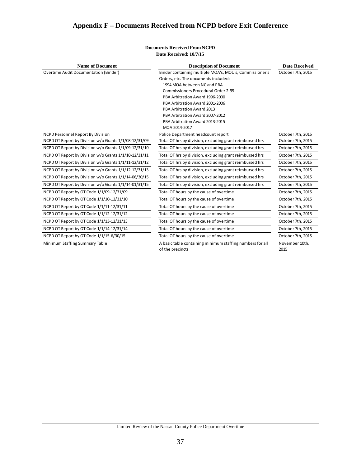| <b>Name of Document</b>                               | <b>Description of Document</b>                                                | <b>Date Received</b>   |  |  |
|-------------------------------------------------------|-------------------------------------------------------------------------------|------------------------|--|--|
| <b>Overtime Audit Documentation (Binder)</b>          | Binder containing multiple MOA's, MOU's, Commissioner's                       | October 7th, 2015      |  |  |
|                                                       | Orders, etc. The documents included:                                          |                        |  |  |
|                                                       | 1994 MOA between NC and PBA                                                   |                        |  |  |
|                                                       | <b>Commissioners Procedural Order 2-95</b>                                    |                        |  |  |
|                                                       | PBA Arbitration Award 1996-2000                                               |                        |  |  |
|                                                       | PBA Arbitration Award 2001-2006                                               |                        |  |  |
|                                                       | PBA Arbitration Award 2013                                                    |                        |  |  |
|                                                       | PBA Arbitration Award 2007-2012                                               |                        |  |  |
|                                                       | PBA Arbitration Award 2013-2015                                               |                        |  |  |
|                                                       | MOA 2014-2017                                                                 |                        |  |  |
| NCPD Personnel Report By Division                     | Police Department headcount report                                            | October 7th, 2015      |  |  |
| NCPD OT Report by Division w/o Grants 1/1/08-12/31/09 | Total OT hrs by division, excluding grant reimbursed hrs                      | October 7th, 2015      |  |  |
| NCPD OT Report by Division w/o Grants 1/1/09-12/31/10 | Total OT hrs by division, excluding grant reimbursed hrs                      | October 7th, 2015      |  |  |
| NCPD OT Report by Division w/o Grants 1/1/10-12/31/11 | Total OT hrs by division, excluding grant reimbursed hrs                      | October 7th, 2015      |  |  |
| NCPD OT Report by Division w/o Grants 1/1/11-12/31/12 | Total OT hrs by division, excluding grant reimbursed hrs                      | October 7th, 2015      |  |  |
| NCPD OT Report by Division w/o Grants 1/1/12-12/31/13 | Total OT hrs by division, excluding grant reimbursed hrs                      | October 7th, 2015      |  |  |
| NCPD OT Report by Division w/o Grants 1/1/14-06/30/15 | Total OT hrs by division, excluding grant reimbursed hrs                      | October 7th, 2015      |  |  |
| NCPD OT Report by Division w/o Grants 1/1/14-01/31/15 | Total OT hrs by division, excluding grant reimbursed hrs                      | October 7th, 2015      |  |  |
| NCPD OT Report by OT Code 1/1/09-12/31/09             | Total OT hours by the cause of overtime                                       | October 7th, 2015      |  |  |
| NCPD OT Report by OT Code 1/1/10-12/31/10             | Total OT hours by the cause of overtime                                       | October 7th, 2015      |  |  |
| NCPD OT Report by OT Code 1/1/11-12/31/11             | Total OT hours by the cause of overtime                                       | October 7th, 2015      |  |  |
| NCPD OT Report by OT Code 1/1/12-12/31/12             | Total OT hours by the cause of overtime                                       | October 7th, 2015      |  |  |
| NCPD OT Report by OT Code 1/1/13-12/31/13             | Total OT hours by the cause of overtime                                       | October 7th, 2015      |  |  |
| NCPD OT Report by OT Code 1/1/14-12/31/14             | Total OT hours by the cause of overtime                                       | October 7th, 2015      |  |  |
| NCPD OT Report by OT Code 1/1/15-6/30/15              | Total OT hours by the cause of overtime                                       | October 7th, 2015      |  |  |
| Minimum Staffing Summary Table                        | A basic table containing minimum staffing numbers for all<br>of the precincts | November 10th,<br>2015 |  |  |

#### **Documents Received From NCPD Date Received: 10/7/15**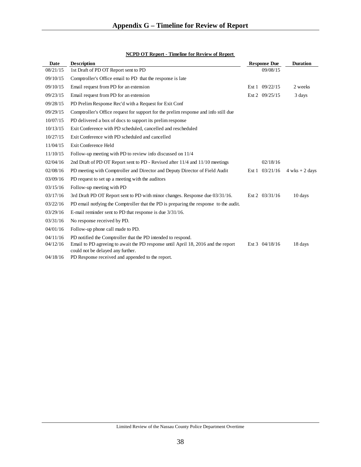| <b>Date</b> | <b>Description</b>                                                                                                     | <b>Response Due</b>    | <b>Duration</b>  |
|-------------|------------------------------------------------------------------------------------------------------------------------|------------------------|------------------|
| 08/21/15    | 1st Draft of PD OT Report sent to PD                                                                                   | 09/08/15               |                  |
| 09/10/15    | Comptroller's Office email to PD that the response is late                                                             |                        |                  |
| 09/10/15    | Email request from PD for an extension                                                                                 | Ext 1 09/22/15         | 2 weeks          |
| 09/23/15    | Email request from PD for an extension                                                                                 | Ext 2 09/25/15         | 3 days           |
| 09/28/15    | PD Prelim Response Rec'd with a Request for Exit Conf                                                                  |                        |                  |
| 09/29/15    | Comptroller's Office request for support for the prelim response and info still due                                    |                        |                  |
| 10/07/15    | PD delivered a box of docs to support its prelim response                                                              |                        |                  |
| 10/13/15    | Exit Conference with PD scheduled, cancelled and rescheduled                                                           |                        |                  |
| 10/27/15    | Exit Conference with PD scheduled and cancelled                                                                        |                        |                  |
| 11/04/15    | Exit Conference Held                                                                                                   |                        |                  |
| 11/10/15    | Follow-up meeting with PD to review info discussed on 11/4                                                             |                        |                  |
| 02/04/16    | 2nd Draft of PD OT Report sent to PD - Revised after 11/4 and 11/10 meetings                                           | 02/18/16               |                  |
| 02/08/16    | PD meeting with Comptroller and Director and Deputy Director of Field Audit                                            | Ext $1 \quad 03/21/16$ | $4$ wks + 2 days |
| 03/09/16    | PD request to set up a meeting with the auditors                                                                       |                        |                  |
| 03/15/16    | Follow-up meeting with PD                                                                                              |                        |                  |
| 03/17/16    | 3rd Draft PD OT Report sent to PD with minor changes. Response due 03/31/16.                                           | Ext 2 03/31/16         | 10 days          |
| 03/22/16    | PD email notifying the Comptroller that the PD is preparing the response to the audit.                                 |                        |                  |
| 03/29/16    | E-mail reminder sent to PD that response is due $3/31/16$ .                                                            |                        |                  |
| 03/31/16    | No response received by PD.                                                                                            |                        |                  |
| 04/01/16    | Follow-up phone call made to PD.                                                                                       |                        |                  |
| 04/11/16    | PD notified the Comptroller that the PD intended to respond.                                                           |                        |                  |
| 04/12/16    | Email to PD agreeing to await the PD response until April 18, 2016 and the report<br>could not be delayed any further. | Ext $3 \quad 04/18/16$ | 18 days          |
| 04/18/16    | PD Response received and appended to the report.                                                                       |                        |                  |

#### **NCPD OT Report - Timeline for Review of Report**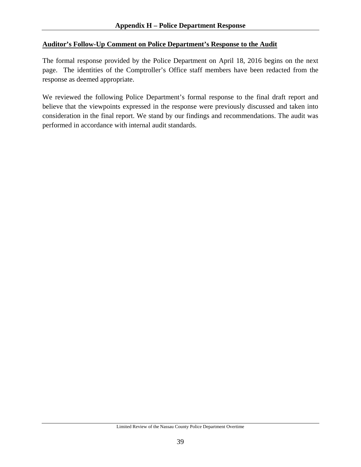### **Auditor's Follow-Up Comment on Police Department's Response to the Audit**

The formal response provided by the Police Department on April 18, 2016 begins on the next page. The identities of the Comptroller's Office staff members have been redacted from the response as deemed appropriate.

We reviewed the following Police Department's formal response to the final draft report and believe that the viewpoints expressed in the response were previously discussed and taken into consideration in the final report. We stand by our findings and recommendations. The audit was performed in accordance with internal audit standards.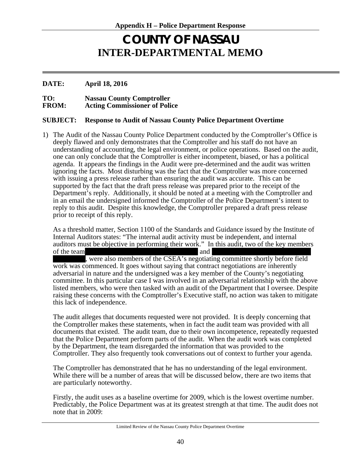# **COUNTY OF NASSAU INTER-DEPARTMENTAL MEMO**

#### **DATE: April 18, 2016**

**TO: Nassau County Comptroller Acting Commissioner of Police** 

#### **SUBJECT: Response to Audit of Nassau County Police Department Overtime**

1) The Audit of the Nassau County Police Department conducted by the Comptroller's Office is deeply flawed and only demonstrates that the Comptroller and his staff do not have an understanding of accounting, the legal environment, or police operations. Based on the audit, one can only conclude that the Comptroller is either incompetent, biased, or has a political agenda. It appears the findings in the Audit were pre-determined and the audit was written ignoring the facts. Most disturbing was the fact that the Comptroller was more concerned with issuing a press release rather than ensuring the audit was accurate. This can be supported by the fact that the draft press release was prepared prior to the receipt of the Department's reply. Additionally, it should be noted at a meeting with the Comptroller and in an email the undersigned informed the Comptroller of the Police Department's intent to reply to this audit. Despite this knowledge, the Comptroller prepared a draft press release prior to receipt of this reply.

As a threshold matter, Section 1100 of the Standards and Guidance issued by the Institute of Internal Auditors states: "The internal audit activity must be independent, and internal auditors must be objective in performing their work." In this audit, two of the key members of the team,  $\blacksquare$ 

, were also members of the CSEA's negotiating committee shortly before field work was commenced. It goes without saying that contract negotiations are inherently adversarial in nature and the undersigned was a key member of the County's negotiating committee. In this particular case I was involved in an adversarial relationship with the above listed members, who were then tasked with an audit of the Department that I oversee. Despite raising these concerns with the Comptroller's Executive staff, no action was taken to mitigate this lack of independence.

The audit alleges that documents requested were not provided. It is deeply concerning that the Comptroller makes these statements, when in fact the audit team was provided with all documents that existed. The audit team, due to their own incompetence, repeatedly requested that the Police Department perform parts of the audit. When the audit work was completed by the Department, the team disregarded the information that was provided to the Comptroller. They also frequently took conversations out of context to further your agenda.

The Comptroller has demonstrated that he has no understanding of the legal environment. While there will be a number of areas that will be discussed below, there are two items that are particularly noteworthy.

Firstly, the audit uses as a baseline overtime for 2009, which is the lowest overtime number. Predictably, the Police Department was at its greatest strength at that time. The audit does not note that in 2009: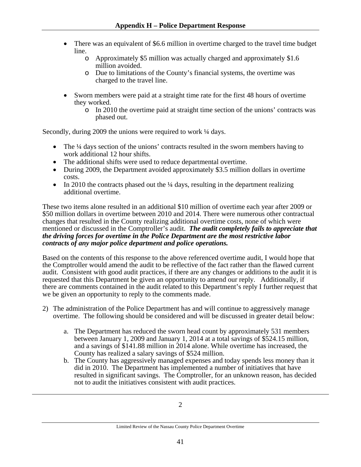- There was an equivalent of \$6.6 million in overtime charged to the travel time budget line.
	- o Approximately \$5 million was actually charged and approximately \$1.6 million avoided.
	- o Due to limitations of the County's financial systems, the overtime was charged to the travel line.
- Sworn members were paid at a straight time rate for the first 48 hours of overtime they worked.
	- o In 2010 the overtime paid at straight time section of the unions' contracts was phased out.

Secondly, during 2009 the unions were required to work  $\frac{1}{4}$  days.

- $\bullet$  The ¼ days section of the unions' contracts resulted in the sworn members having to work additional 12 hour shifts.
- The additional shifts were used to reduce departmental overtime.
- During 2009, the Department avoided approximately \$3.5 million dollars in overtime costs.
- In 2010 the contracts phased out the  $\frac{1}{4}$  days, resulting in the department realizing additional overtime.

These two items alone resulted in an additional \$10 million of overtime each year after 2009 or \$50 million dollars in overtime between 2010 and 2014. There were numerous other contractual changes that resulted in the County realizing additional overtime costs, none of which were mentioned or discussed in the Comptroller's audit. *The audit completely fails to appreciate that the driving forces for overtime in the Police Department are the most restrictive labor contracts of any major police department and police operations.* 

Based on the contents of this response to the above referenced overtime audit, I would hope that the Comptroller would amend the audit to be reflective of the fact rather than the flawed current audit. Consistent with good audit practices, if there are any changes or additions to the audit it is requested that this Department be given an opportunity to amend our reply. Additionally, if there are comments contained in the audit related to this Department's reply I further request that we be given an opportunity to reply to the comments made.

- 2) The administration of the Police Department has and will continue to aggressively manage overtime. The following should be considered and will be discussed in greater detail below:
	- a. The Department has reduced the sworn head count by approximately 531 members between January 1, 2009 and January 1, 2014 at a total savings of \$524.15 million, and a savings of \$141.88 million in 2014 alone. While overtime has increased, the County has realized a salary savings of \$524 million.
	- b. The County has aggressively managed expenses and today spends less money than it did in 2010. The Department has implemented a number of initiatives that have resulted in significant savings. The Comptroller, for an unknown reason, has decided not to audit the initiatives consistent with audit practices.

Limited Review of the Nassau County Police Department Overtime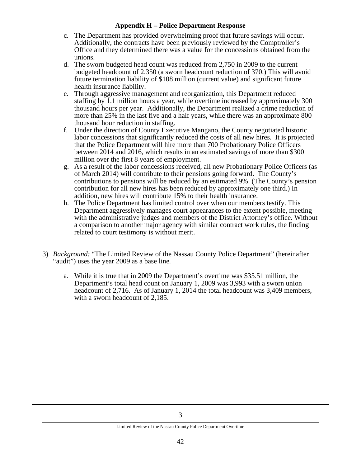- c. The Department has provided overwhelming proof that future savings will occur. Additionally, the contracts have been previously reviewed by the Comptroller's Office and they determined there was a value for the concessions obtained from the unions.
- d. The sworn budgeted head count was reduced from 2,750 in 2009 to the current budgeted headcount of 2,350 (a sworn headcount reduction of 370.) This will avoid future termination liability of \$108 million (current value) and significant future health insurance liability.
- e. Through aggressive management and reorganization, this Department reduced staffing by 1.1 million hours a year, while overtime increased by approximately 300 thousand hours per year. Additionally, the Department realized a crime reduction of more than 25% in the last five and a half years, while there was an approximate 800 thousand hour reduction in staffing.
- f. Under the direction of County Executive Mangano, the County negotiated historic labor concessions that significantly reduced the costs of all new hires. It is projected that the Police Department will hire more than 700 Probationary Police Officers between 2014 and 2016, which results in an estimated savings of more than \$300 million over the first 8 years of employment.
- g. As a result of the labor concessions received, all new Probationary Police Officers (as of March 2014) will contribute to their pensions going forward. The County's contributions to pensions will be reduced by an estimated 9%. (The County's pension contribution for all new hires has been reduced by approximately one third.) In addition, new hires will contribute 15% to their health insurance.
- h. The Police Department has limited control over when our members testify. This Department aggressively manages court appearances to the extent possible, meeting with the administrative judges and members of the District Attorney's office. Without a comparison to another major agency with similar contract work rules, the finding related to court testimony is without merit.
- 3) *Background:* "The Limited Review of the Nassau County Police Department" (hereinafter "audit") uses the year 2009 as a base line*.*
	- a. While it is true that in 2009 the Department's overtime was \$35.51 million, the Department's total head count on January 1, 2009 was 3,993 with a sworn union headcount of 2,716. As of January 1, 2014 the total headcount was 3,409 members, with a sworn headcount of 2,185.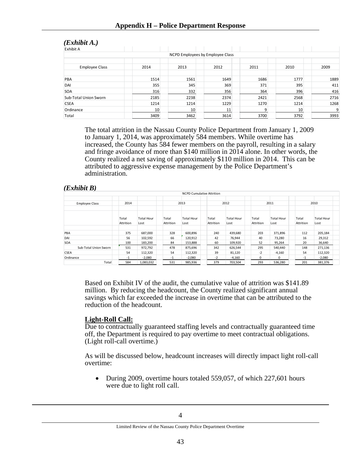| (EXNIDII A.)          |      |                                  |      |      |      |      |
|-----------------------|------|----------------------------------|------|------|------|------|
| Exhibit A             |      |                                  |      |      |      |      |
|                       |      | NCPD Employees by Employee Class |      |      |      |      |
|                       |      |                                  |      |      |      |      |
| <b>Employee Class</b> | 2014 | 2013                             | 2012 | 2011 | 2010 | 2009 |
| PBA                   | 1514 | 1561                             | 1649 | 1686 | 1777 | 1889 |
| DAI                   | 355  | 345                              | 369  | 371  | 395  | 411  |
| SOA                   | 316  | 332                              | 356  | 364  | 396  | 416  |
| Sub-Total Union Sworn | 2185 | 2238                             | 2374 | 2421 | 2568 | 2716 |
| <b>CSEA</b>           | 1214 | 1214                             | 1229 | 1270 | 1214 | 1268 |
| Ordinance             | 10   | 10                               | 11   | q    | 10   | 9    |
| Total                 | 3409 | 3462                             | 3614 | 3700 | 3792 | 3993 |

# $(E<sub>1</sub>, L<sub>2</sub>, L<sub>3</sub>, L<sub>4</sub>)$

The total attrition in the Nassau County Police Department from January 1, 2009 to January 1, 2014, was approximately 584 members. While overtime has increased, the County has 584 fewer members on the payroll, resulting in a salary and fringe avoidance of more than \$140 million in 2014 alone. In other words, the County realized a net saving of approximately \$110 million in 2014. This can be attributed to aggressive expense management by the Police Department's administration.

#### *(Exhibit B)*

|                       |                    |                           |                    | <b>NCPD Cumulative Attrition</b> |                    |                           |                    |                           |                    |                           |
|-----------------------|--------------------|---------------------------|--------------------|----------------------------------|--------------------|---------------------------|--------------------|---------------------------|--------------------|---------------------------|
| <b>Employee Class</b> | 2014               |                           |                    | 2013                             |                    | 2012                      |                    | 2011                      |                    | 2010                      |
|                       | Total<br>Attrition | <b>Total Hour</b><br>Lost | Total<br>Attrition | <b>Total Hour</b><br>Lost        | Total<br>Attrition | <b>Total Hour</b><br>Lost | Total<br>Attrition | <b>Total Hour</b><br>Lost | Total<br>Attrition | <b>Total Hour</b><br>Lost |
|                       |                    |                           |                    |                                  |                    |                           |                    |                           |                    |                           |
| PBA                   | 375                | 687,000                   | 328                | 600,896                          | 240                | 439,680                   | 203                | 371,896                   | 112                | 205,184                   |
| DAI                   | 56                 | 102,592                   | 66                 | 120,912                          | 42                 | 76,944                    | 40                 | 73,280                    | 16                 | 29,312                    |
| <b>SOA</b>            | 100                | 183,200                   | 84                 | 153,888                          | 60                 | 109,920                   | 52                 | 95,264                    | 20                 | 36,640                    |
| Sub-Total Union Sworn | 531                | 972,792                   | 478                | 875,696                          | 342                | 626,544                   | 295                | 540,440                   | 148                | 271,136                   |
| <b>CSEA</b>           | 54                 | 112,320                   | 54                 | 112,320                          | 39                 | 81,120                    | $-2$               | $-4,160$                  | 54                 | 112,320                   |
| Ordinance             | $-1$               | $-2,080$                  | $-1$               | $-2,080$                         | $-2$               | $-4,160$                  | $\Omega$           | $\Omega$                  | $-1$               | $-2,080$                  |
| Total                 | 584                | 1,083,032                 | 531                | 985,936                          | 379                | 703.504                   | 293                | 536.280                   | 201                | 381,376                   |

Based on Exhibit IV of the audit, the cumulative value of attrition was \$141.89 million. By reducing the headcount, the County realized significant annual savings which far exceeded the increase in overtime that can be attributed to the reduction of the headcount.

### **Light-Roll Call:**

Due to contractually guaranteed staffing levels and contractually guaranteed time off, the Department is required to pay overtime to meet contractual obligations. (Light roll-call overtime.)

As will be discussed below, headcount increases will directly impact light roll-call overtime:

• During 2009, overtime hours totaled 559,057, of which 227,601 hours were due to light roll call.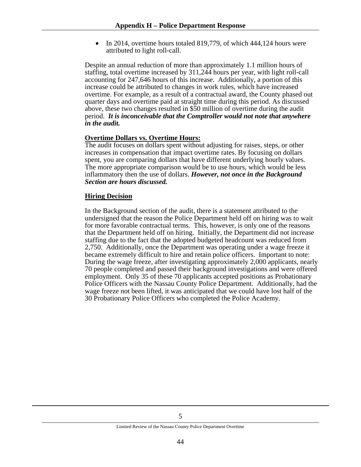In 2014, overtime hours totaled 819,779, of which 444,124 hours were attributed to light roll-call.

Despite an annual reduction of more than approximately 1.1 million hours of staffing, total overtime increased by 311,244 hours per year, with light roll-call accounting for 247,646 hours of this increase. Additionally, a portion of this increase could be attributed to changes in work rules, which have increased overtime. For example, as a result of a contractual award, the County phased out quarter days and overtime paid at straight time during this period. As discussed above, these two changes resulted in \$50 million of overtime during the audit period. *It is inconceivable that the Comptroller would not note that anywhere in the audit.*

#### **Overtime Dollars vs. Overtime Hours:**

The audit focuses on dollars spent without adjusting for raises, steps, or other increases in compensation that impact overtime rates. By focusing on dollars spent, you are comparing dollars that have different underlying hourly values. The more appropriate comparison would be to use hours, which would be less inflammatory then the use of dollars. *However, not once in the Background Section are hours discussed.* 

#### **Hiring Decision**

In the Background section of the audit, there is a statement attributed to the undersigned that the reason the Police Department held off on hiring was to wait for more favorable contractual terms. This, however, is only one of the reasons that the Department held off on hiring. Initially, the Department did not increase staffing due to the fact that the adopted budgeted headcount was reduced from 2,750. Additionally, once the Department was operating under a wage freeze it became extremely difficult to hire and retain police officers. Important to note: During the wage freeze, after investigating approximately 2,000 applicants, nearly 70 people completed and passed their background investigations and were offered employment. Only 35 of these 70 applicants accepted positions as Probationary Police Officers with the Nassau County Police Department. Additionally, had the wage freeze not been lifted, it was anticipated that we could have lost half of the 30 Probationary Police Officers who completed the Police Academy.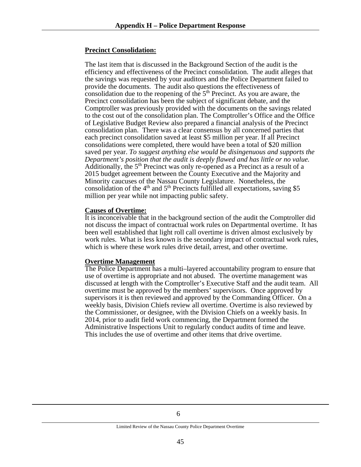#### **Precinct Consolidation:**

The last item that is discussed in the Background Section of the audit is the efficiency and effectiveness of the Precinct consolidation. The audit alleges that the savings was requested by your auditors and the Police Department failed to provide the documents. The audit also questions the effectiveness of consolidation due to the reopening of the  $5<sup>th</sup>$  Precinct. As you are aware, the Precinct consolidation has been the subject of significant debate, and the Comptroller was previously provided with the documents on the savings related to the cost out of the consolidation plan. The Comptroller's Office and the Office of Legislative Budget Review also prepared a financial analysis of the Precinct consolidation plan. There was a clear consensus by all concerned parties that each precinct consolidation saved at least \$5 million per year. If all Precinct consolidations were completed, there would have been a total of \$20 million saved per year. *To suggest anything else would be disingenuous and supports the Department's position that the audit is deeply flawed and has little or no value.* Additionally, the 5<sup>th</sup> Precinct was only re-opened as a Precinct as a result of a 2015 budget agreement between the County Executive and the Majority and Minority caucuses of the Nassau County Legislature. Nonetheless, the consolidation of the  $4<sup>th</sup>$  and  $5<sup>th</sup>$  Precincts fulfilled all expectations, saving \$5 million per year while not impacting public safety.

#### **Causes of Overtime:**

It is inconceivable that in the background section of the audit the Comptroller did not discuss the impact of contractual work rules on Departmental overtime. It has been well established that light roll call overtime is driven almost exclusively by work rules. What is less known is the secondary impact of contractual work rules, which is where these work rules drive detail, arrest, and other overtime.

#### **Overtime Management**

The Police Department has a multi–layered accountability program to ensure that use of overtime is appropriate and not abused. The overtime management was discussed at length with the Comptroller's Executive Staff and the audit team. All overtime must be approved by the members' supervisors. Once approved by supervisors it is then reviewed and approved by the Commanding Officer. On a weekly basis, Division Chiefs review all overtime. Overtime is also reviewed by the Commissioner, or designee, with the Division Chiefs on a weekly basis. In 2014, prior to audit field work commencing, the Department formed the Administrative Inspections Unit to regularly conduct audits of time and leave. This includes the use of overtime and other items that drive overtime.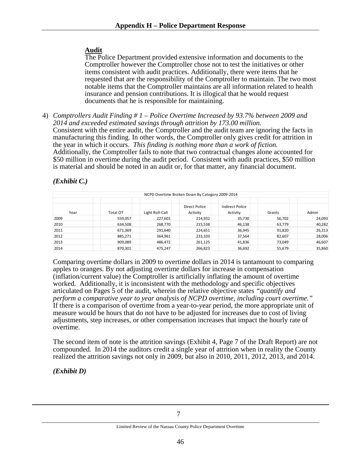### **Audit**

The Police Department provided extensive information and documents to the Comptroller however the Comptroller chose not to test the initiatives or other items consistent with audit practices. Additionally, there were items that he requested that are the responsibility of the Comptroller to maintain. The two most notable items that the Comptroller maintains are all information related to health insurance and pension contributions. It is illogical that he would request documents that he is responsible for maintaining.

4) *Comptrollers Audit Finding # 1 – Police Overtime Increased by 93.7% between 2009 and 2014 and exceeded estimated savings through attrition by 173.00 million.* Consistent with the entire audit, the Comptroller and the audit team are ignoring the facts in manufacturing this finding. In other words, the Comptroller only gives credit for attrition in the year in which it occurs. *This finding is nothing more than a work of fiction.* Additionally, the Comptroller fails to note that two contractual changes alone accounted for \$50 million in overtime during the audit period. Consistent with audit practices, \$50 million is material and should be noted in an audit or, for that matter, any financial document.

# *(Exhibit C.)*

| NCPD Overtime Broken Down By Category 2009-2014 |          |                 |                           |                             |        |        |  |  |  |
|-------------------------------------------------|----------|-----------------|---------------------------|-----------------------------|--------|--------|--|--|--|
| Year                                            | Total OT | Light Roll-Call | Direct Police<br>Activity | Indirect Police<br>Activity | Grants | Admin  |  |  |  |
| 2009                                            | 559,057  | 227,601         | 214,932                   | 35,730                      | 56,702 | 24,093 |  |  |  |
| 2010                                            | 634,508  | 268,770         | 215,538                   | 46,138                      | 63,779 | 40,282 |  |  |  |
| 2011                                            | 671,369  | 291,640         | 224,651                   | 36,945                      | 91,820 | 26,313 |  |  |  |
| 2012                                            | 885,271  | 364,961         | 233,103                   | 37.564                      | 82,607 | 28,006 |  |  |  |
| 2013                                            | 909,089  | 486,472         | 261,125                   | 41,836                      | 73,049 | 46,607 |  |  |  |
| 2014                                            | 870,301  | 475,247         | 266,823                   | 36,692                      | 55,679 | 35,860 |  |  |  |

Comparing overtime dollars in 2009 to overtime dollars in 2014 is tantamount to comparing apples to oranges. By not adjusting overtime dollars for increase in compensation (inflation/current value) the Comptroller is artificially inflating the amount of overtime worked. Additionally, it is inconsistent with the methodology and specific objectives articulated on Pages 5 of the audit, wherein the relative objective states *"quantify and perform a comparative year to year analysis of NCPD overtime, including court overtime."* If there is a comparison of overtime from a year-to-year period, the more appropriate unit of measure would be hours that do not have to be adjusted for increases due to cost of living adjustments, step increases, or other compensation increases that impact the hourly rate of overtime.

The second item of note is the attrition savings (Exhibit 4, Page 7 of the Draft Report) are not compounded. In 2014 the auditors credit a single year of attrition when in reality the County realized the attrition savings not only in 2009, but also in 2010, 2011, 2012, 2013, and 2014.

*(Exhibit D)*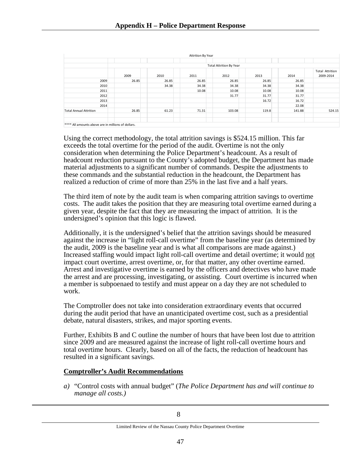|                                                    |       |       | Attrition By Year |                                |       |        |                        |
|----------------------------------------------------|-------|-------|-------------------|--------------------------------|-------|--------|------------------------|
|                                                    |       |       |                   |                                |       |        |                        |
|                                                    |       |       |                   | <b>Total Attrition By Year</b> |       |        |                        |
|                                                    |       |       |                   |                                |       |        | <b>Total Attrition</b> |
|                                                    | 2009  | 2010  | 2011              | 2012                           | 2013  | 2014   | 2009-2014              |
| 2009                                               | 26.85 | 26.85 | 26.85             | 26.85                          | 26.85 | 26.85  |                        |
| 2010                                               |       | 34.38 | 34.38             | 34.38                          | 34.38 | 34.38  |                        |
| 2011                                               |       |       | 10.08             | 10.08                          | 10.08 | 10.08  |                        |
| 2012                                               |       |       |                   | 31.77                          | 31.77 | 31.77  |                        |
| 2013                                               |       |       |                   |                                | 16.72 | 16.72  |                        |
| 2014                                               |       |       |                   |                                |       | 22.08  |                        |
| <b>Total Annual Attrition</b>                      | 26.85 | 61.23 | 71.31             | 103.08                         | 119.8 | 141.88 | 524.15                 |
|                                                    |       |       |                   |                                |       |        |                        |
|                                                    |       |       |                   |                                |       |        |                        |
| **** All amounts above are in millions of dollars. |       |       |                   |                                |       |        |                        |

Using the correct methodology, the total attrition savings is \$524.15 million. This far exceeds the total overtime for the period of the audit. Overtime is not the only consideration when determining the Police Department's headcount. As a result of headcount reduction pursuant to the County's adopted budget, the Department has made material adjustments to a significant number of commands. Despite the adjustments to these commands and the substantial reduction in the headcount, the Department has realized a reduction of crime of more than 25% in the last five and a half years.

The third item of note by the audit team is when comparing attrition savings to overtime costs. The audit takes the position that they are measuring total overtime earned during a given year, despite the fact that they are measuring the impact of attrition. It is the undersigned's opinion that this logic is flawed.

Additionally, it is the undersigned's belief that the attrition savings should be measured against the increase in "light roll-call overtime" from the baseline year (as determined by the audit, 2009 is the baseline year and is what all comparisons are made against.) Increased staffing would impact light roll-call overtime and detail overtime; it would not impact court overtime, arrest overtime, or, for that matter, any other overtime earned. Arrest and investigative overtime is earned by the officers and detectives who have made the arrest and are processing, investigating, or assisting. Court overtime is incurred when a member is subpoenaed to testify and must appear on a day they are not scheduled to work.

The Comptroller does not take into consideration extraordinary events that occurred during the audit period that have an unanticipated overtime cost, such as a presidential debate, natural disasters, strikes, and major sporting events.

Further, Exhibits B and C outline the number of hours that have been lost due to attrition since 2009 and are measured against the increase of light roll-call overtime hours and total overtime hours. Clearly, based on all of the facts, the reduction of headcount has resulted in a significant savings.

#### **Comptroller's Audit Recommendations**

*a)* "Control costs with annual budget" (*The Police Department has and will continue to manage all costs.)*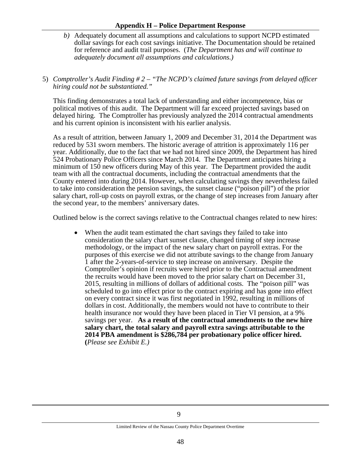#### **Appendix H – Police Department Response**

*b)* Adequately document all assumptions and calculations to support NCPD estimated dollar savings for each cost savings initiative. The Documentation should be retained for reference and audit trail purposes. (*The Department has and will continue to adequately document all assumptions and calculations.)* 

#### 5) *Comptroller's Audit Finding # 2 – "The NCPD's claimed future savings from delayed officer hiring could not be substantiated."*

This finding demonstrates a total lack of understanding and either incompetence, bias or political motives of this audit. The Department will far exceed projected savings based on delayed hiring. The Comptroller has previously analyzed the 2014 contractual amendments and his current opinion is inconsistent with his earlier analysis.

As a result of attrition, between January 1, 2009 and December 31, 2014 the Department was reduced by 531 sworn members. The historic average of attrition is approximately 116 per year. Additionally, due to the fact that we had not hired since 2009, the Department has hired 524 Probationary Police Officers since March 2014. The Department anticipates hiring a minimum of 150 new officers during May of this year. The Department provided the audit team with all the contractual documents, including the contractual amendments that the County entered into during 2014. However, when calculating savings they nevertheless failed to take into consideration the pension savings, the sunset clause ("poison pill") of the prior salary chart, roll-up costs on payroll extras, or the change of step increases from January after the second year, to the members' anniversary dates.

Outlined below is the correct savings relative to the Contractual changes related to new hires:

• When the audit team estimated the chart savings they failed to take into consideration the salary chart sunset clause, changed timing of step increase methodology, or the impact of the new salary chart on payroll extras. For the purposes of this exercise we did not attribute savings to the change from January 1 after the 2-years-of-service to step increase on anniversary. Despite the Comptroller's opinion if recruits were hired prior to the Contractual amendment the recruits would have been moved to the prior salary chart on December 31, 2015, resulting in millions of dollars of additional costs. The "poison pill" was scheduled to go into effect prior to the contract expiring and has gone into effect on every contract since it was first negotiated in 1992, resulting in millions of dollars in cost. Additionally, the members would not have to contribute to their health insurance nor would they have been placed in Tier VI pension, at a 9% savings per year. **As a result of the contractual amendments to the new hire salary chart, the total salary and payroll extra savings attributable to the 2014 PBA amendment is \$286,784 per probationary police officer hired. (***Please see Exhibit E.)*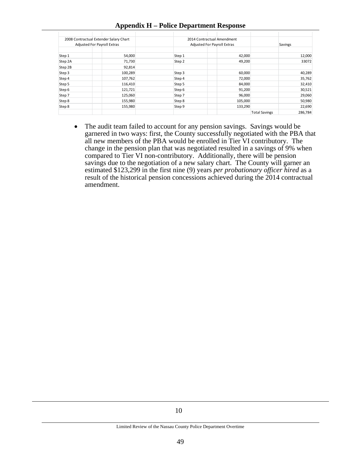|         | 2008 Contractual Extender Salary Chart                                   |        | 2014 Contractual Amendment |                      |         |
|---------|--------------------------------------------------------------------------|--------|----------------------------|----------------------|---------|
|         | <b>Adjusted For Payroll Extras</b><br><b>Adjusted For Payroll Extras</b> |        |                            |                      | Savings |
|         |                                                                          |        |                            |                      |         |
| Step 1  | 54,000                                                                   | Step 1 | 42,000                     |                      | 12,000  |
| Step 2A | 71,730                                                                   | Step 2 | 49,200                     |                      | 33072   |
| Step 2B | 92,814                                                                   |        |                            |                      |         |
| Step 3  | 100,289                                                                  | Step 3 | 60,000                     |                      | 40,289  |
| Step 4  | 107,762                                                                  | Step 4 | 72,000                     |                      | 35,762  |
| Step 5  | 116,410                                                                  | Step 5 | 84,000                     |                      | 32,410  |
| Step 6  | 121,721                                                                  | Step 6 | 91,200                     |                      | 30,521  |
| Step 7  | 125,060                                                                  | Step 7 | 96,000                     |                      | 29,060  |
| Step 8  | 155,980                                                                  | Step 8 | 105,000                    |                      | 50,980  |
| Step 8  | 155,980                                                                  | Step 9 | 133,290                    |                      | 22,690  |
|         |                                                                          |        |                            | <b>Total Savings</b> | 286,784 |

#### **Appendix H – Police Department Response**

• The audit team failed to account for any pension savings. Savings would be garnered in two ways: first, the County successfully negotiated with the PBA that all new members of the PBA would be enrolled in Tier VI contributory. The change in the pension plan that was negotiated resulted in a savings of 9% when compared to Tier VI non-contributory. Additionally, there will be pension savings due to the negotiation of a new salary chart. The County will garner an estimated \$123,299 in the first nine (9) years *per probationary officer hired* as a result of the historical pension concessions achieved during the 2014 contractual amendment.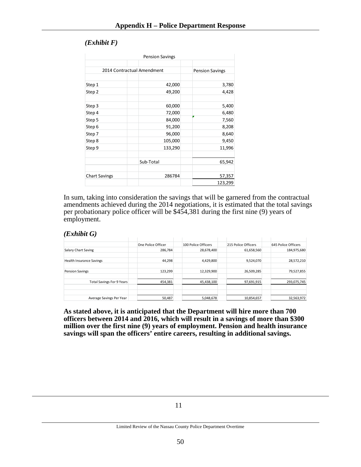#### *(Exhibit F)*

|                      | <b>Pension Savings</b>     |                        |
|----------------------|----------------------------|------------------------|
|                      |                            |                        |
|                      | 2014 Contractual Amendment | <b>Pension Savings</b> |
|                      |                            |                        |
| Step 1               | 42,000                     | 3,780                  |
| Step 2               | 49,200                     | 4,428                  |
| Step 3               | 60,000                     | 5,400                  |
| Step 4               | 72,000                     | 6,480                  |
| Step 5               | 84,000                     | 7,560                  |
| Step 6               | 91,200                     | 8,208                  |
| Step 7               | 96,000                     | 8,640                  |
| Step 8               | 105,000                    | 9,450                  |
| Step 9               | 133,290                    | 11,996                 |
|                      | Sub-Total                  | 65,942                 |
| <b>Chart Savings</b> | 286784                     | 57,357                 |
|                      |                            | 123,299                |

In sum, taking into consideration the savings that will be garnered from the contractual amendments achieved during the 2014 negotiations, it is estimated that the total savings per probationary police officer will be \$454,381 during the first nine (9) years of employment.

#### *(Exhibit G)*

|                                  | One Police Officer | 100 Police Officers | 215 Police Officers | 645 Police Officers |
|----------------------------------|--------------------|---------------------|---------------------|---------------------|
| Salary Chart Saving              | 286,784            | 28,678,400          | 61,658,560          | 184,975,680         |
|                                  |                    |                     |                     |                     |
| <b>Health Insurance Savings</b>  | 44,298             | 4,429,800           | 9,524,070           | 28,572,210          |
| <b>Pension Savings</b>           | 123,299            | 12,329,900          | 26,509,285          | 79,527,855          |
| <b>Total Savings For 9 Years</b> | 454,381            | 45,438,100          | 97,691,915          | 293,075,745         |
|                                  |                    |                     |                     |                     |
| Average Savings Per Year         | 50.487             | 5,048,678           | 10.854.657          | 32.563.972          |

**As stated above, it is anticipated that the Department will hire more than 700 officers between 2014 and 2016, which will result in a savings of more than \$300 million over the first nine (9) years of employment. Pension and health insurance savings will span the officers' entire careers, resulting in additional savings.**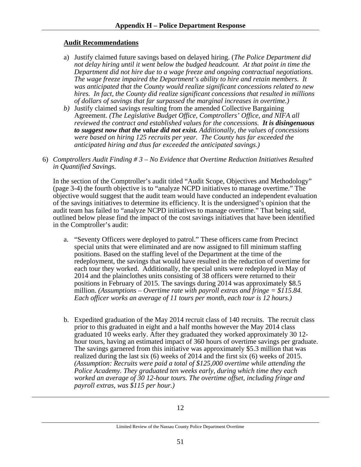#### **Audit Recommendations**

- a) Justify claimed future savings based on delayed hiring. (*The Police Department did not delay hiring until it went below the budged headcount. At that point in time the Department did not hire due to a wage freeze and ongoing contractual negotiations. The wage freeze impaired the Department's ability to hire and retain members. It was anticipated that the County would realize significant concessions related to new hires. In fact, the County did realize significant concessions that resulted in millions of dollars of savings that far surpassed the marginal increases in overtime.)*
- *b)* Justify claimed savings resulting from the amended Collective Bargaining Agreement. *(The Legislative Budget Office, Comptrollers' Office, and NIFA all reviewed the contract and established values for the concessions. It is disingenuous to suggest now that the value did not exist. Additionally, the values of concessions were based on hiring 125 recruits per year. The County has far exceeded the anticipated hiring and thus far exceeded the anticipated savings.)*
- 6) *Comptrollers Audit Finding # 3 No Evidence that Overtime Reduction Initiatives Resulted in Quantified Savings.*

In the section of the Comptroller's audit titled "Audit Scope, Objectives and Methodology" (page 3-4) the fourth objective is to "analyze NCPD initiatives to manage overtime." The objective would suggest that the audit team would have conducted an independent evaluation of the savings initiatives to determine its efficiency. It is the undersigned's opinion that the audit team has failed to "analyze NCPD initiatives to manage overtime." That being said, outlined below please find the impact of the cost savings initiatives that have been identified in the Comptroller's audit:

- a. "Seventy Officers were deployed to patrol." These officers came from Precinct special units that were eliminated and are now assigned to fill minimum staffing positions. Based on the staffing level of the Department at the time of the redeployment, the savings that would have resulted in the reduction of overtime for each tour they worked. Additionally, the special units were redeployed in May of 2014 and the plainclothes units consisting of 38 officers were returned to their positions in February of 2015. The savings during 2014 was approximately \$8.5 million. *(Assumptions – Overtime rate with payroll extras and fringe = \$115.84. Each officer works an average of 11 tours per month, each tour is 12 hours.)*
- b. Expedited graduation of the May 2014 recruit class of 140 recruits. The recruit class prior to this graduated in eight and a half months however the May 2014 class graduated 10 weeks early. After they graduated they worked approximately 30 12 hour tours, having an estimated impact of 360 hours of overtime savings per graduate. The savings garnered from this initiative was approximately \$5.3 million that was realized during the last six (6) weeks of 2014 and the first six (6) weeks of 2015. *(Assumption: Recruits were paid a total of \$125,000 overtime while attending the Police Academy. They graduated ten weeks early, during which time they each worked an average of 30 12-hour tours. The overtime offset, including fringe and payroll extras, was \$115 per hour.)*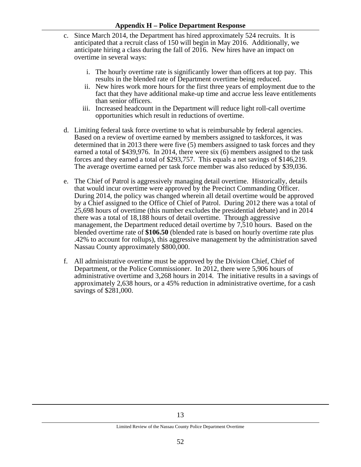- c. Since March 2014, the Department has hired approximately 524 recruits. It is anticipated that a recruit class of 150 will begin in May 2016. Additionally, we anticipate hiring a class during the fall of 2016. New hires have an impact on overtime in several ways:
	- i. The hourly overtime rate is significantly lower than officers at top pay. This results in the blended rate of Department overtime being reduced.
	- ii. New hires work more hours for the first three years of employment due to the fact that they have additional make-up time and accrue less leave entitlements than senior officers.
	- iii. Increased headcount in the Department will reduce light roll-call overtime opportunities which result in reductions of overtime.
- d. Limiting federal task force overtime to what is reimbursable by federal agencies. Based on a review of overtime earned by members assigned to taskforces, it was determined that in 2013 there were five (5) members assigned to task forces and they earned a total of \$439,976. In 2014, there were six (6) members assigned to the task forces and they earned a total of \$293,757. This equals a net savings of \$146,219. The average overtime earned per task force member was also reduced by \$39,036.
- e. The Chief of Patrol is aggressively managing detail overtime. Historically, details that would incur overtime were approved by the Precinct Commanding Officer. During 2014, the policy was changed wherein all detail overtime would be approved by a Chief assigned to the Office of Chief of Patrol. During 2012 there was a total of 25,698 hours of overtime (this number excludes the presidential debate) and in 2014 there was a total of 18,188 hours of detail overtime. Through aggressive management, the Department reduced detail overtime by 7,510 hours. Based on the blended overtime rate of **\$106.50** (blended rate is based on hourly overtime rate plus .42% to account for rollups), this aggressive management by the administration saved Nassau County approximately \$800,000.
- f. All administrative overtime must be approved by the Division Chief, Chief of Department, or the Police Commissioner. In 2012, there were 5,906 hours of administrative overtime and 3,268 hours in 2014. The initiative results in a savings of approximately 2,638 hours, or a 45% reduction in administrative overtime, for a cash savings of \$281,000.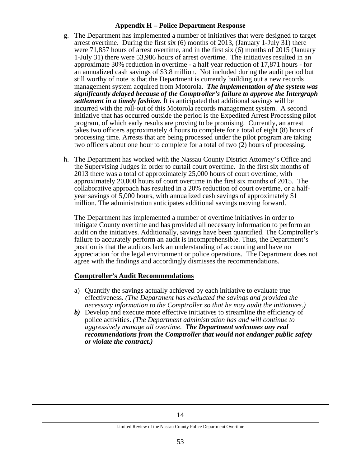#### **Appendix H – Police Department Response**

- g. The Department has implemented a number of initiatives that were designed to target arrest overtime. During the first six (6) months of 2013, (January 1-July 31) there were 71,857 hours of arrest overtime, and in the first six (6) months of 2015 (January 1-July 31) there were 53,986 hours of arrest overtime. The initiatives resulted in an approximate 30% reduction in overtime - a half year reduction of 17,871 hours - for an annualized cash savings of \$3.8 million. Not included during the audit period but still worthy of note is that the Department is currently building out a new records management system acquired from Motorola. *The implementation of the system was significantly delayed because of the Comptroller's failure to approve the Intergraph settlement in a timely fashion.* It is anticipated that additional savings will be incurred with the roll-out of this Motorola records management system. A second initiative that has occurred outside the period is the Expedited Arrest Processing pilot program, of which early results are proving to be promising. Currently, an arrest takes two officers approximately 4 hours to complete for a total of eight (8) hours of processing time. Arrests that are being processed under the pilot program are taking two officers about one hour to complete for a total of two (2) hours of processing.
- h. The Department has worked with the Nassau County District Attorney's Office and the Supervising Judges in order to curtail court overtime. In the first six months of 2013 there was a total of approximately 25,000 hours of court overtime, with approximately 20,000 hours of court overtime in the first six months of 2015. The collaborative approach has resulted in a 20% reduction of court overtime, or a halfyear savings of 5,000 hours, with annualized cash savings of approximately \$1 million. The administration anticipates additional savings moving forward.

The Department has implemented a number of overtime initiatives in order to mitigate County overtime and has provided all necessary information to perform an audit on the initiatives. Additionally, savings have been quantified. The Comptroller's failure to accurately perform an audit is incomprehensible. Thus, the Department's position is that the auditors lack an understanding of accounting and have no appreciation for the legal environment or police operations. The Department does not agree with the findings and accordingly dismisses the recommendations.

#### **Comptroller's Audit Recommendations**

- a) Quantify the savings actually achieved by each initiative to evaluate true effectiveness. *(The Department has evaluated the savings and provided the necessary information to the Comptroller so that he may audit the initiatives.)*
- *b)* Develop and execute more effective initiatives to streamline the efficiency of police activities. *(The Department administration has and will continue to aggressively manage all overtime. The Department welcomes any real recommendations from the Comptroller that would not endanger public safety or violate the contract.)*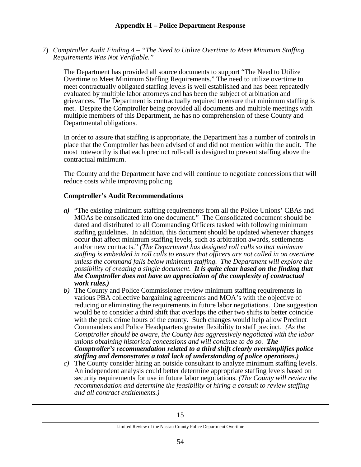7) *Comptroller Audit Finding 4 – "The Need to Utilize Overtime to Meet Minimum Staffing Requirements Was Not Verifiable."*

The Department has provided all source documents to support "The Need to Utilize Overtime to Meet Minimum Staffing Requirements." The need to utilize overtime to meet contractually obligated staffing levels is well established and has been repeatedly evaluated by multiple labor attorneys and has been the subject of arbitration and grievances. The Department is contractually required to ensure that minimum staffing is met. Despite the Comptroller being provided all documents and multiple meetings with multiple members of this Department, he has no comprehension of these County and Departmental obligations.

In order to assure that staffing is appropriate, the Department has a number of controls in place that the Comptroller has been advised of and did not mention within the audit. The most noteworthy is that each precinct roll-call is designed to prevent staffing above the contractual minimum.

The County and the Department have and will continue to negotiate concessions that will reduce costs while improving policing.

#### **Comptroller's Audit Recommendations**

ī

- *a)* "The existing minimum staffing requirements from all the Police Unions' CBAs and MOAs be consolidated into one document." The Consolidated document should be dated and distributed to all Commanding Officers tasked with following minimum staffing guidelines. In addition, this document should be updated whenever changes occur that affect minimum staffing levels, such as arbitration awards, settlements and/or new contracts." *(The Department has designed roll calls so that minimum staffing is embedded in roll calls to ensure that officers are not called in on overtime unless the command falls below minimum staffing. The Department will explore the possibility of creating a single document. It is quite clear based on the finding that the Comptroller does not have an appreciation of the complexity of contractual work rules.)*
- *b)* The County and Police Commissioner review minimum staffing requirements in various PBA collective bargaining agreements and MOA's with the objective of reducing or eliminating the requirements in future labor negotiations. One suggestion would be to consider a third shift that overlaps the other two shifts to better coincide with the peak crime hours of the county. Such changes would help allow Precinct Commanders and Police Headquarters greater flexibility to staff precinct. *(As the Comptroller should be aware, the County has aggressively negotiated with the labor unions obtaining historical concessions and will continue to do so. The Comptroller's recommendation related to a third shift clearly oversimplifies police staffing and demonstrates a total lack of understanding of police operations.)*
- *c)* The County consider hiring an outside consultant to analyze minimum staffing levels. An independent analysis could better determine appropriate staffing levels based on security requirements for use in future labor negotiations. *(The County will review the recommendation and determine the feasibility of hiring a consult to review staffing and all contract entitlements.)*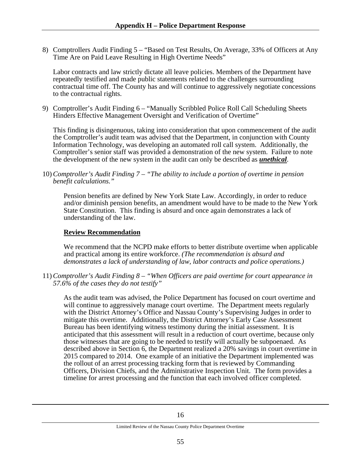8) Comptrollers Audit Finding 5 – "Based on Test Results, On Average, 33% of Officers at Any Time Are on Paid Leave Resulting in High Overtime Needs"

Labor contracts and law strictly dictate all leave policies. Members of the Department have repeatedly testified and made public statements related to the challenges surrounding contractual time off. The County has and will continue to aggressively negotiate concessions to the contractual rights.

9) Comptroller's Audit Finding 6 – "Manually Scribbled Police Roll Call Scheduling Sheets Hinders Effective Management Oversight and Verification of Overtime"

This finding is disingenuous, taking into consideration that upon commencement of the audit the Comptroller's audit team was advised that the Department, in conjunction with County Information Technology, was developing an automated roll call system. Additionally, the Comptroller's senior staff was provided a demonstration of the new system. Failure to note the development of the new system in the audit can only be described as *unethical*.

10) *Comptroller's Audit Finding 7 – "The ability to include a portion of overtime in pension benefit calculations."*

Pension benefits are defined by New York State Law. Accordingly, in order to reduce and/or diminish pension benefits, an amendment would have to be made to the New York State Constitution. This finding is absurd and once again demonstrates a lack of understanding of the law.

#### **Review Recommendation**

We recommend that the NCPD make efforts to better distribute overtime when applicable and practical among its entire workforce. *(The recommendation is absurd and demonstrates a lack of understanding of law, labor contracts and police operations.)*

11) *Comptroller's Audit Finding 8 – "When Officers are paid overtime for court appearance in 57.6% of the cases they do not testify"*

As the audit team was advised, the Police Department has focused on court overtime and will continue to aggressively manage court overtime. The Department meets regularly with the District Attorney's Office and Nassau County's Supervising Judges in order to mitigate this overtime. Additionally, the District Attorney's Early Case Assessment Bureau has been identifying witness testimony during the initial assessment. It is anticipated that this assessment will result in a reduction of court overtime, because only those witnesses that are going to be needed to testify will actually be subpoenaed. As described above in Section 6, the Department realized a 20% savings in court overtime in 2015 compared to 2014. One example of an initiative the Department implemented was the rollout of an arrest processing tracking form that is reviewed by Commanding Officers, Division Chiefs, and the Administrative Inspection Unit. The form provides a timeline for arrest processing and the function that each involved officer completed.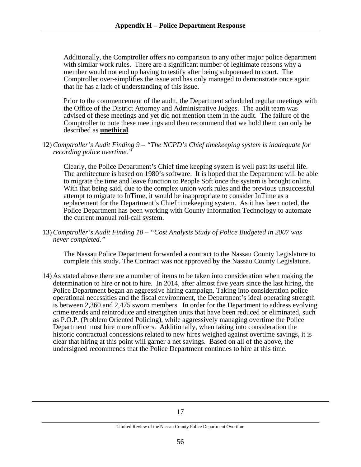Additionally, the Comptroller offers no comparison to any other major police department with similar work rules. There are a significant number of legitimate reasons why a member would not end up having to testify after being subpoenaed to court. The Comptroller over-simplifies the issue and has only managed to demonstrate once again that he has a lack of understanding of this issue.

Prior to the commencement of the audit, the Department scheduled regular meetings with the Office of the District Attorney and Administrative Judges. The audit team was advised of these meetings and yet did not mention them in the audit. The failure of the Comptroller to note these meetings and then recommend that we hold them can only be described as **unethical**.

12) *Comptroller's Audit Finding 9 – "The NCPD's Chief timekeeping system is inadequate for recording police overtime."*

Clearly, the Police Department's Chief time keeping system is well past its useful life. The architecture is based on 1980's software. It is hoped that the Department will be able to migrate the time and leave function to People Soft once the system is brought online. With that being said, due to the complex union work rules and the previous unsuccessful attempt to migrate to InTime, it would be inappropriate to consider InTime as a replacement for the Department's Chief timekeeping system. As it has been noted, the Police Department has been working with County Information Technology to automate the current manual roll-call system.

13) *Comptroller's Audit Finding 10 – "Cost Analysis Study of Police Budgeted in 2007 was never completed."*

The Nassau Police Department forwarded a contract to the Nassau County Legislature to complete this study. The Contract was not approved by the Nassau County Legislature.

14) As stated above there are a number of items to be taken into consideration when making the determination to hire or not to hire. In 2014, after almost five years since the last hiring, the Police Department began an aggressive hiring campaign. Taking into consideration police operational necessities and the fiscal environment, the Department's ideal operating strength is between 2,360 and 2,475 sworn members. In order for the Department to address evolving crime trends and reintroduce and strengthen units that have been reduced or eliminated, such as P.O.P. (Problem Oriented Policing), while aggressively managing overtime the Police Department must hire more officers. Additionally, when taking into consideration the historic contractual concessions related to new hires weighed against overtime savings, it is clear that hiring at this point will garner a net savings. Based on all of the above, the undersigned recommends that the Police Department continues to hire at this time.